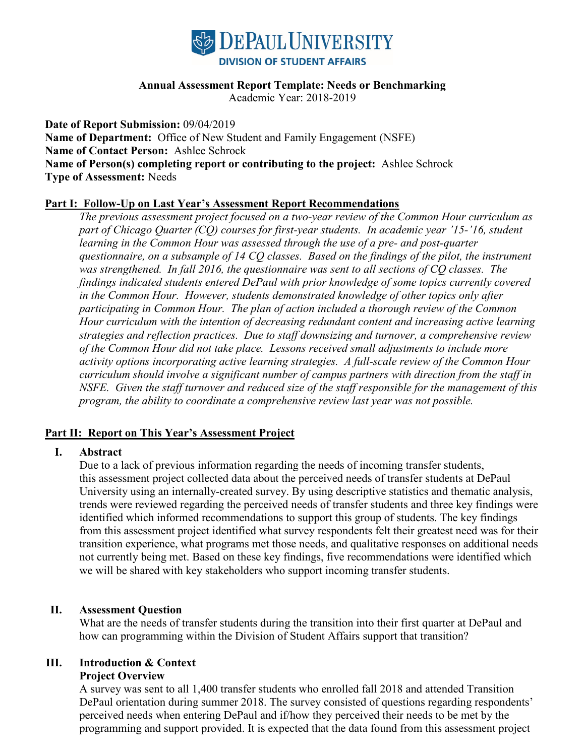

#### **Annual Assessment Report Template: Needs or Benchmarking**

Academic Year: 2018-2019

**Date of Report Submission:** 09/04/2019 **Name of Department:** Office of New Student and Family Engagement (NSFE) **Name of Contact Person:** Ashlee Schrock **Name of Person(s) completing report or contributing to the project:** Ashlee Schrock **Type of Assessment:** Needs

#### **Part I: Follow-Up on Last Year's Assessment Report Recommendations**

*The previous assessment project focused on a two-year review of the Common Hour curriculum as part of Chicago Quarter (CQ) courses for first-year students. In academic year '15-'16, student learning in the Common Hour was assessed through the use of a pre- and post-quarter questionnaire, on a subsample of 14 CQ classes. Based on the findings of the pilot, the instrument was strengthened. In fall 2016, the questionnaire was sent to all sections of CQ classes. The findings indicated students entered DePaul with prior knowledge of some topics currently covered in the Common Hour. However, students demonstrated knowledge of other topics only after participating in Common Hour. The plan of action included a thorough review of the Common Hour curriculum with the intention of decreasing redundant content and increasing active learning strategies and reflection practices. Due to staff downsizing and turnover, a comprehensive review of the Common Hour did not take place. Lessons received small adjustments to include more activity options incorporating active learning strategies. A full-scale review of the Common Hour curriculum should involve a significant number of campus partners with direction from the staff in NSFE. Given the staff turnover and reduced size of the staff responsible for the management of this program, the ability to coordinate a comprehensive review last year was not possible.* 

#### **Part II: Report on This Year's Assessment Project**

#### **I. Abstract**

Due to a lack of previous information regarding the needs of incoming transfer students, this assessment project collected data about the perceived needs of transfer students at DePaul University using an internally-created survey. By using descriptive statistics and thematic analysis, trends were reviewed regarding the perceived needs of transfer students and three key findings were identified which informed recommendations to support this group of students. The key findings from this assessment project identified what survey respondents felt their greatest need was for their transition experience, what programs met those needs, and qualitative responses on additional needs not currently being met. Based on these key findings, five recommendations were identified which we will be shared with key stakeholders who support incoming transfer students.

#### **II. Assessment Question**

What are the needs of transfer students during the transition into their first quarter at DePaul and how can programming within the Division of Student Affairs support that transition?

## **III. Introduction & Context**

#### **Project Overview**

A survey was sent to all 1,400 transfer students who enrolled fall 2018 and attended Transition DePaul orientation during summer 2018. The survey consisted of questions regarding respondents' perceived needs when entering DePaul and if/how they perceived their needs to be met by the programming and support provided. It is expected that the data found from this assessment project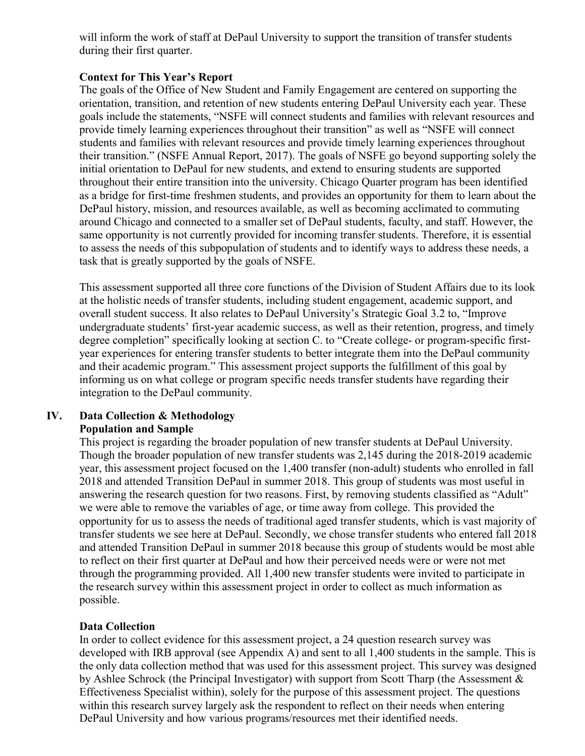will inform the work of staff at DePaul University to support the transition of transfer students during their first quarter.

## **Context for This Year's Report**

The goals of the Office of New Student and Family Engagement are centered on supporting the orientation, transition, and retention of new students entering DePaul University each year. These goals include the statements, "NSFE will connect students and families with relevant resources and provide timely learning experiences throughout their transition" as well as "NSFE will connect students and families with relevant resources and provide timely learning experiences throughout their transition." (NSFE Annual Report, 2017). The goals of NSFE go beyond supporting solely the initial orientation to DePaul for new students, and extend to ensuring students are supported throughout their entire transition into the university. Chicago Quarter program has been identified as a bridge for first-time freshmen students, and provides an opportunity for them to learn about the DePaul history, mission, and resources available, as well as becoming acclimated to commuting around Chicago and connected to a smaller set of DePaul students, faculty, and staff. However, the same opportunity is not currently provided for incoming transfer students. Therefore, it is essential to assess the needs of this subpopulation of students and to identify ways to address these needs, a task that is greatly supported by the goals of NSFE.

This assessment supported all three core functions of the Division of Student Affairs due to its look at the holistic needs of transfer students, including student engagement, academic support, and overall student success. It also relates to DePaul University's Strategic Goal 3.2 to, "Improve undergraduate students' first-year academic success, as well as their retention, progress, and timely degree completion" specifically looking at section C. to "Create college- or program-specific firstyear experiences for entering transfer students to better integrate them into the DePaul community and their academic program." This assessment project supports the fulfillment of this goal by informing us on what college or program specific needs transfer students have regarding their integration to the DePaul community.

#### **IV. Data Collection & Methodology Population and Sample**

This project is regarding the broader population of new transfer students at DePaul University. Though the broader population of new transfer students was 2,145 during the 2018-2019 academic year, this assessment project focused on the 1,400 transfer (non-adult) students who enrolled in fall 2018 and attended Transition DePaul in summer 2018. This group of students was most useful in answering the research question for two reasons. First, by removing students classified as "Adult" we were able to remove the variables of age, or time away from college. This provided the opportunity for us to assess the needs of traditional aged transfer students, which is vast majority of transfer students we see here at DePaul. Secondly, we chose transfer students who entered fall 2018 and attended Transition DePaul in summer 2018 because this group of students would be most able to reflect on their first quarter at DePaul and how their perceived needs were or were not met through the programming provided. All 1,400 new transfer students were invited to participate in the research survey within this assessment project in order to collect as much information as possible.

## **Data Collection**

In order to collect evidence for this assessment project, a 24 question research survey was developed with IRB approval (see Appendix A) and sent to all 1,400 students in the sample. This is the only data collection method that was used for this assessment project. This survey was designed by Ashlee Schrock (the Principal Investigator) with support from Scott Tharp (the Assessment & Effectiveness Specialist within), solely for the purpose of this assessment project. The questions within this research survey largely ask the respondent to reflect on their needs when entering DePaul University and how various programs/resources met their identified needs.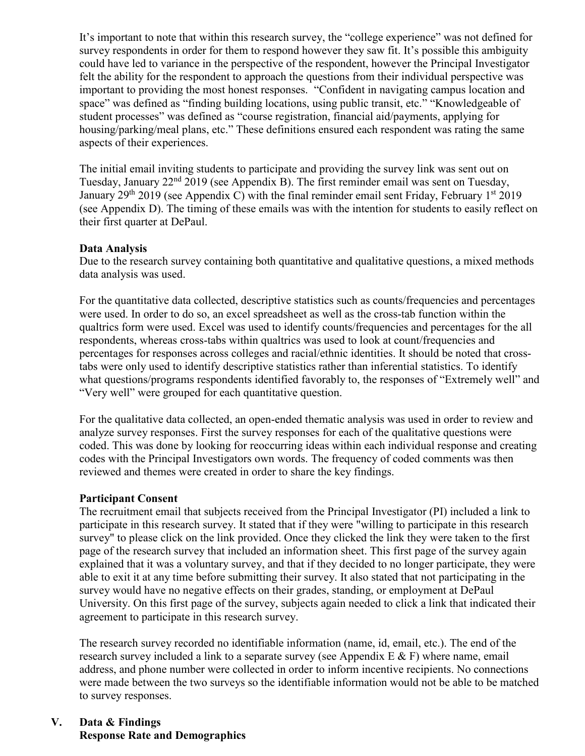It's important to note that within this research survey, the "college experience" was not defined for survey respondents in order for them to respond however they saw fit. It's possible this ambiguity could have led to variance in the perspective of the respondent, however the Principal Investigator felt the ability for the respondent to approach the questions from their individual perspective was important to providing the most honest responses. "Confident in navigating campus location and space" was defined as "finding building locations, using public transit, etc." "Knowledgeable of student processes" was defined as "course registration, financial aid/payments, applying for housing/parking/meal plans, etc." These definitions ensured each respondent was rating the same aspects of their experiences.

The initial email inviting students to participate and providing the survey link was sent out on Tuesday, January 22nd 2019 (see Appendix B). The first reminder email was sent on Tuesday, January 29<sup>th</sup> 2019 (see Appendix C) with the final reminder email sent Friday, February 1<sup>st</sup> 2019 (see Appendix D). The timing of these emails was with the intention for students to easily reflect on their first quarter at DePaul.

#### **Data Analysis**

Due to the research survey containing both quantitative and qualitative questions, a mixed methods data analysis was used.

For the quantitative data collected, descriptive statistics such as counts/frequencies and percentages were used. In order to do so, an excel spreadsheet as well as the cross-tab function within the qualtrics form were used. Excel was used to identify counts/frequencies and percentages for the all respondents, whereas cross-tabs within qualtrics was used to look at count/frequencies and percentages for responses across colleges and racial/ethnic identities. It should be noted that crosstabs were only used to identify descriptive statistics rather than inferential statistics. To identify what questions/programs respondents identified favorably to, the responses of "Extremely well" and "Very well" were grouped for each quantitative question.

For the qualitative data collected, an open-ended thematic analysis was used in order to review and analyze survey responses. First the survey responses for each of the qualitative questions were coded. This was done by looking for reoccurring ideas within each individual response and creating codes with the Principal Investigators own words. The frequency of coded comments was then reviewed and themes were created in order to share the key findings.

## **Participant Consent**

The recruitment email that subjects received from the Principal Investigator (PI) included a link to participate in this research survey. It stated that if they were "willing to participate in this research survey" to please click on the link provided. Once they clicked the link they were taken to the first page of the research survey that included an information sheet. This first page of the survey again explained that it was a voluntary survey, and that if they decided to no longer participate, they were able to exit it at any time before submitting their survey. It also stated that not participating in the survey would have no negative effects on their grades, standing, or employment at DePaul University. On this first page of the survey, subjects again needed to click a link that indicated their agreement to participate in this research survey.

The research survey recorded no identifiable information (name, id, email, etc.). The end of the research survey included a link to a separate survey (see Appendix E & F) where name, email address, and phone number were collected in order to inform incentive recipients. No connections were made between the two surveys so the identifiable information would not be able to be matched to survey responses.

## **V. Data & Findings Response Rate and Demographics**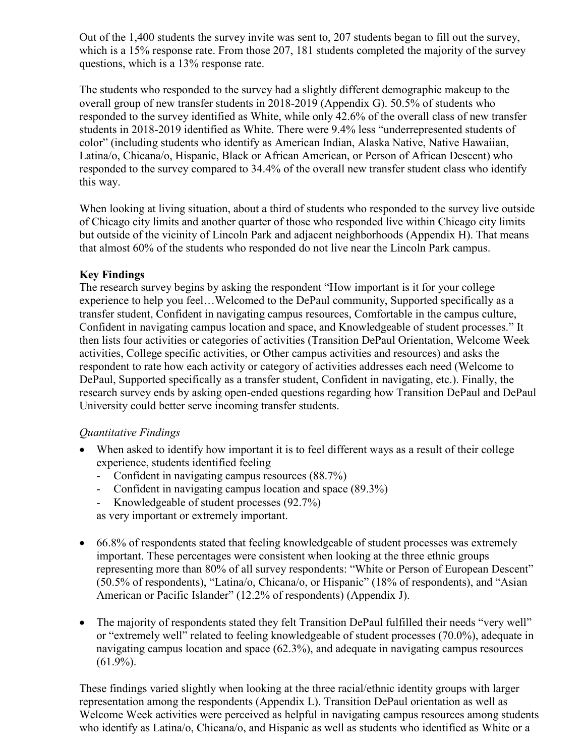Out of the 1,400 students the survey invite was sent to, 207 students began to fill out the survey, which is a 15% response rate. From those 207, 181 students completed the majority of the survey questions, which is a 13% response rate.

The students who responded to the survey had a slightly different demographic makeup to the overall group of new transfer students in 2018-2019 (Appendix G). 50.5% of students who responded to the survey identified as White, while only 42.6% of the overall class of new transfer students in 2018-2019 identified as White. There were 9.4% less "underrepresented students of color" (including students who identify as American Indian, Alaska Native, Native Hawaiian, Latina/o, Chicana/o, Hispanic, Black or African American, or Person of African Descent) who responded to the survey compared to 34.4% of the overall new transfer student class who identify this way.

When looking at living situation, about a third of students who responded to the survey live outside of Chicago city limits and another quarter of those who responded live within Chicago city limits but outside of the vicinity of Lincoln Park and adjacent neighborhoods (Appendix H). That means that almost 60% of the students who responded do not live near the Lincoln Park campus.

## **Key Findings**

The research survey begins by asking the respondent "How important is it for your college experience to help you feel…Welcomed to the DePaul community, Supported specifically as a transfer student, Confident in navigating campus resources, Comfortable in the campus culture, Confident in navigating campus location and space, and Knowledgeable of student processes." It then lists four activities or categories of activities (Transition DePaul Orientation, Welcome Week activities, College specific activities, or Other campus activities and resources) and asks the respondent to rate how each activity or category of activities addresses each need (Welcome to DePaul, Supported specifically as a transfer student, Confident in navigating, etc.). Finally, the research survey ends by asking open-ended questions regarding how Transition DePaul and DePaul University could better serve incoming transfer students.

## *Quantitative Findings*

- When asked to identify how important it is to feel different ways as a result of their college experience, students identified feeling
	- Confident in navigating campus resources (88.7%)
	- Confident in navigating campus location and space (89.3%)
	- Knowledgeable of student processes (92.7%)

as very important or extremely important.

- 66.8% of respondents stated that feeling knowledgeable of student processes was extremely important. These percentages were consistent when looking at the three ethnic groups representing more than 80% of all survey respondents: "White or Person of European Descent" (50.5% of respondents), "Latina/o, Chicana/o, or Hispanic" (18% of respondents), and "Asian American or Pacific Islander" (12.2% of respondents) (Appendix J).
- The majority of respondents stated they felt Transition DePaul fulfilled their needs "very well" or "extremely well" related to feeling knowledgeable of student processes (70.0%), adequate in navigating campus location and space (62.3%), and adequate in navigating campus resources  $(61.9\%).$

These findings varied slightly when looking at the three racial/ethnic identity groups with larger representation among the respondents (Appendix L). Transition DePaul orientation as well as Welcome Week activities were perceived as helpful in navigating campus resources among students who identify as Latina/o, Chicana/o, and Hispanic as well as students who identified as White or a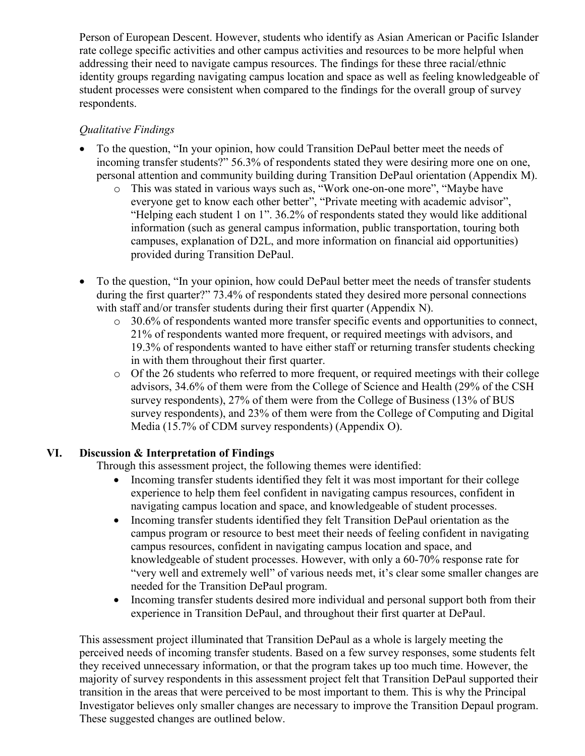Person of European Descent. However, students who identify as Asian American or Pacific Islander rate college specific activities and other campus activities and resources to be more helpful when addressing their need to navigate campus resources. The findings for these three racial/ethnic identity groups regarding navigating campus location and space as well as feeling knowledgeable of student processes were consistent when compared to the findings for the overall group of survey respondents.

# *Qualitative Findings*

- To the question, "In your opinion, how could Transition DePaul better meet the needs of incoming transfer students?" 56.3% of respondents stated they were desiring more one on one, personal attention and community building during Transition DePaul orientation (Appendix M).
	- o This was stated in various ways such as, "Work one-on-one more", "Maybe have everyone get to know each other better", "Private meeting with academic advisor", "Helping each student 1 on 1". 36.2% of respondents stated they would like additional information (such as general campus information, public transportation, touring both campuses, explanation of D2L, and more information on financial aid opportunities) provided during Transition DePaul.
- To the question, "In your opinion, how could DePaul better meet the needs of transfer students during the first quarter?" 73.4% of respondents stated they desired more personal connections with staff and/or transfer students during their first quarter (Appendix N).
	- $\circ$  30.6% of respondents wanted more transfer specific events and opportunities to connect, 21% of respondents wanted more frequent, or required meetings with advisors, and 19.3% of respondents wanted to have either staff or returning transfer students checking in with them throughout their first quarter.
	- o Of the 26 students who referred to more frequent, or required meetings with their college advisors, 34.6% of them were from the College of Science and Health (29% of the CSH survey respondents), 27% of them were from the College of Business (13% of BUS survey respondents), and 23% of them were from the College of Computing and Digital Media (15.7% of CDM survey respondents) (Appendix O).

# **VI. Discussion & Interpretation of Findings**

Through this assessment project, the following themes were identified:

- Incoming transfer students identified they felt it was most important for their college experience to help them feel confident in navigating campus resources, confident in navigating campus location and space, and knowledgeable of student processes.
- Incoming transfer students identified they felt Transition DePaul orientation as the campus program or resource to best meet their needs of feeling confident in navigating campus resources, confident in navigating campus location and space, and knowledgeable of student processes. However, with only a 60-70% response rate for "very well and extremely well" of various needs met, it's clear some smaller changes are needed for the Transition DePaul program.
- Incoming transfer students desired more individual and personal support both from their experience in Transition DePaul, and throughout their first quarter at DePaul.

This assessment project illuminated that Transition DePaul as a whole is largely meeting the perceived needs of incoming transfer students. Based on a few survey responses, some students felt they received unnecessary information, or that the program takes up too much time. However, the majority of survey respondents in this assessment project felt that Transition DePaul supported their transition in the areas that were perceived to be most important to them. This is why the Principal Investigator believes only smaller changes are necessary to improve the Transition Depaul program. These suggested changes are outlined below.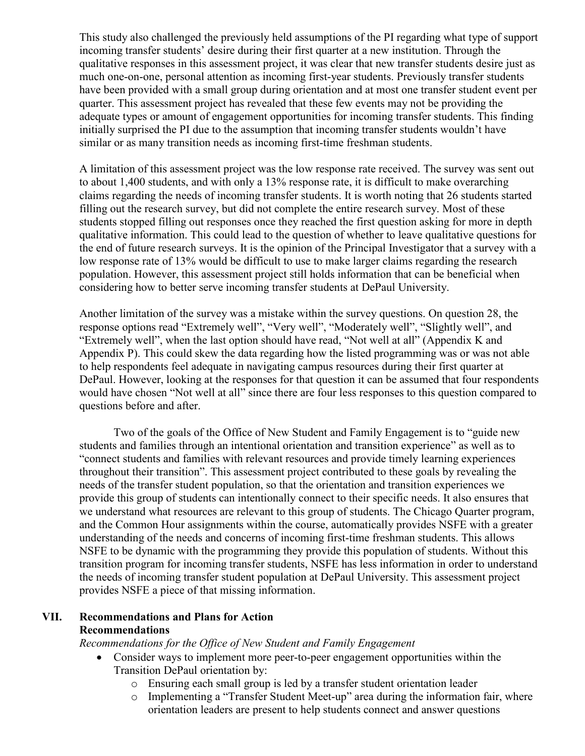This study also challenged the previously held assumptions of the PI regarding what type of support incoming transfer students' desire during their first quarter at a new institution. Through the qualitative responses in this assessment project, it was clear that new transfer students desire just as much one-on-one, personal attention as incoming first-year students. Previously transfer students have been provided with a small group during orientation and at most one transfer student event per quarter. This assessment project has revealed that these few events may not be providing the adequate types or amount of engagement opportunities for incoming transfer students. This finding initially surprised the PI due to the assumption that incoming transfer students wouldn't have similar or as many transition needs as incoming first-time freshman students.

A limitation of this assessment project was the low response rate received. The survey was sent out to about 1,400 students, and with only a 13% response rate, it is difficult to make overarching claims regarding the needs of incoming transfer students. It is worth noting that 26 students started filling out the research survey, but did not complete the entire research survey. Most of these students stopped filling out responses once they reached the first question asking for more in depth qualitative information. This could lead to the question of whether to leave qualitative questions for the end of future research surveys. It is the opinion of the Principal Investigator that a survey with a low response rate of 13% would be difficult to use to make larger claims regarding the research population. However, this assessment project still holds information that can be beneficial when considering how to better serve incoming transfer students at DePaul University.

Another limitation of the survey was a mistake within the survey questions. On question 28, the response options read "Extremely well", "Very well", "Moderately well", "Slightly well", and "Extremely well", when the last option should have read, "Not well at all" (Appendix K and Appendix P). This could skew the data regarding how the listed programming was or was not able to help respondents feel adequate in navigating campus resources during their first quarter at DePaul. However, looking at the responses for that question it can be assumed that four respondents would have chosen "Not well at all" since there are four less responses to this question compared to questions before and after.

Two of the goals of the Office of New Student and Family Engagement is to "guide new students and families through an intentional orientation and transition experience" as well as to "connect students and families with relevant resources and provide timely learning experiences throughout their transition". This assessment project contributed to these goals by revealing the needs of the transfer student population, so that the orientation and transition experiences we provide this group of students can intentionally connect to their specific needs. It also ensures that we understand what resources are relevant to this group of students. The Chicago Quarter program, and the Common Hour assignments within the course, automatically provides NSFE with a greater understanding of the needs and concerns of incoming first-time freshman students. This allows NSFE to be dynamic with the programming they provide this population of students. Without this transition program for incoming transfer students, NSFE has less information in order to understand the needs of incoming transfer student population at DePaul University. This assessment project provides NSFE a piece of that missing information.

#### **VII. Recommendations and Plans for Action Recommendations**

*Recommendations for the Office of New Student and Family Engagement*

- Consider ways to implement more peer-to-peer engagement opportunities within the Transition DePaul orientation by:
	- o Ensuring each small group is led by a transfer student orientation leader
	- o Implementing a "Transfer Student Meet-up" area during the information fair, where orientation leaders are present to help students connect and answer questions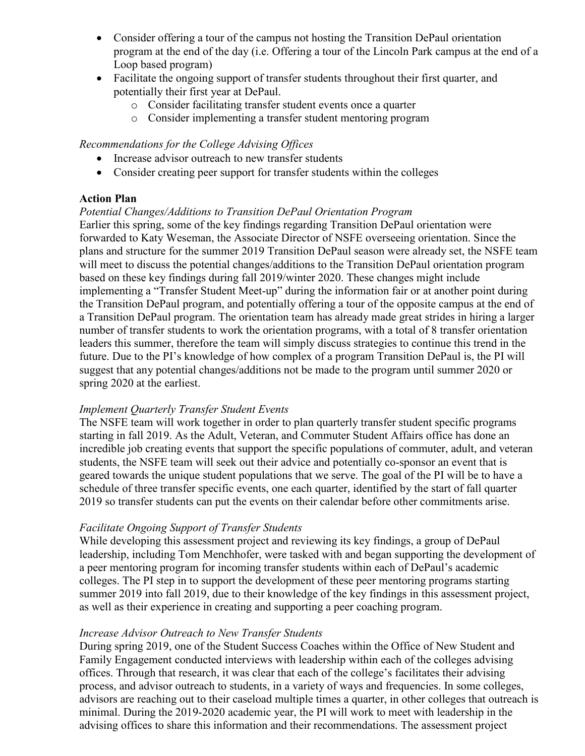- Consider offering a tour of the campus not hosting the Transition DePaul orientation program at the end of the day (i.e. Offering a tour of the Lincoln Park campus at the end of a Loop based program)
- Facilitate the ongoing support of transfer students throughout their first quarter, and potentially their first year at DePaul.
	- o Consider facilitating transfer student events once a quarter
	- o Consider implementing a transfer student mentoring program

#### *Recommendations for the College Advising Offices*

- Increase advisor outreach to new transfer students
- Consider creating peer support for transfer students within the colleges

#### **Action Plan**

#### *Potential Changes/Additions to Transition DePaul Orientation Program*

Earlier this spring, some of the key findings regarding Transition DePaul orientation were forwarded to Katy Weseman, the Associate Director of NSFE overseeing orientation. Since the plans and structure for the summer 2019 Transition DePaul season were already set, the NSFE team will meet to discuss the potential changes/additions to the Transition DePaul orientation program based on these key findings during fall 2019/winter 2020. These changes might include implementing a "Transfer Student Meet-up" during the information fair or at another point during the Transition DePaul program, and potentially offering a tour of the opposite campus at the end of a Transition DePaul program. The orientation team has already made great strides in hiring a larger number of transfer students to work the orientation programs, with a total of 8 transfer orientation leaders this summer, therefore the team will simply discuss strategies to continue this trend in the future. Due to the PI's knowledge of how complex of a program Transition DePaul is, the PI will suggest that any potential changes/additions not be made to the program until summer 2020 or spring 2020 at the earliest.

#### *Implement Quarterly Transfer Student Events*

The NSFE team will work together in order to plan quarterly transfer student specific programs starting in fall 2019. As the Adult, Veteran, and Commuter Student Affairs office has done an incredible job creating events that support the specific populations of commuter, adult, and veteran students, the NSFE team will seek out their advice and potentially co-sponsor an event that is geared towards the unique student populations that we serve. The goal of the PI will be to have a schedule of three transfer specific events, one each quarter, identified by the start of fall quarter 2019 so transfer students can put the events on their calendar before other commitments arise.

#### *Facilitate Ongoing Support of Transfer Students*

While developing this assessment project and reviewing its key findings, a group of DePaul leadership, including Tom Menchhofer, were tasked with and began supporting the development of a peer mentoring program for incoming transfer students within each of DePaul's academic colleges. The PI step in to support the development of these peer mentoring programs starting summer 2019 into fall 2019, due to their knowledge of the key findings in this assessment project, as well as their experience in creating and supporting a peer coaching program.

#### *Increase Advisor Outreach to New Transfer Students*

During spring 2019, one of the Student Success Coaches within the Office of New Student and Family Engagement conducted interviews with leadership within each of the colleges advising offices. Through that research, it was clear that each of the college's facilitates their advising process, and advisor outreach to students, in a variety of ways and frequencies. In some colleges, advisors are reaching out to their caseload multiple times a quarter, in other colleges that outreach is minimal. During the 2019-2020 academic year, the PI will work to meet with leadership in the advising offices to share this information and their recommendations. The assessment project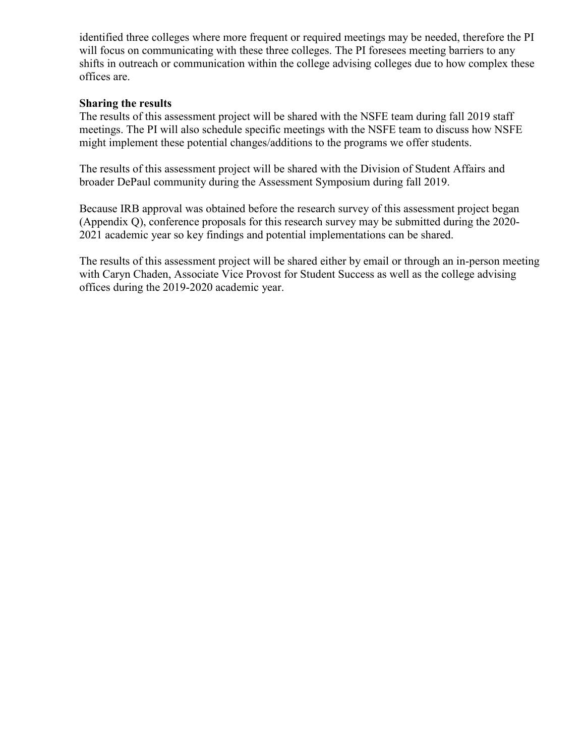identified three colleges where more frequent or required meetings may be needed, therefore the PI will focus on communicating with these three colleges. The PI foresees meeting barriers to any shifts in outreach or communication within the college advising colleges due to how complex these offices are.

#### **Sharing the results**

The results of this assessment project will be shared with the NSFE team during fall 2019 staff meetings. The PI will also schedule specific meetings with the NSFE team to discuss how NSFE might implement these potential changes/additions to the programs we offer students.

The results of this assessment project will be shared with the Division of Student Affairs and broader DePaul community during the Assessment Symposium during fall 2019.

Because IRB approval was obtained before the research survey of this assessment project began (Appendix Q), conference proposals for this research survey may be submitted during the 2020- 2021 academic year so key findings and potential implementations can be shared.

The results of this assessment project will be shared either by email or through an in-person meeting with Caryn Chaden, Associate Vice Provost for Student Success as well as the college advising offices during the 2019-2020 academic year.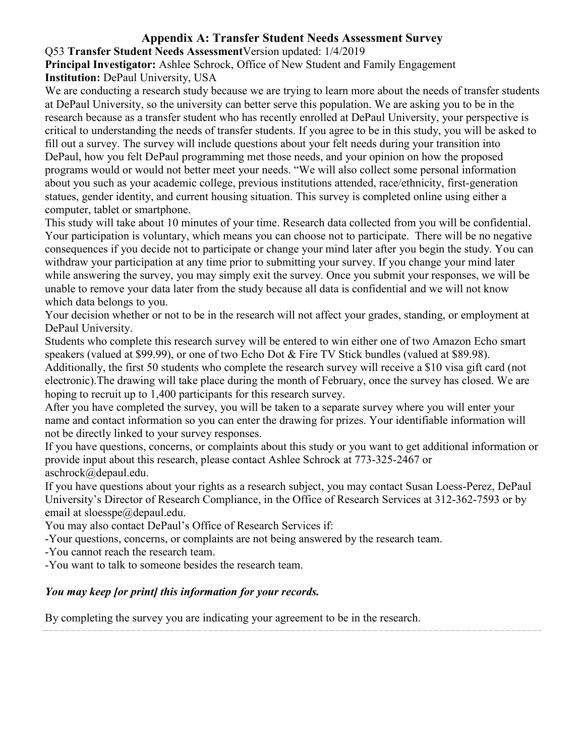# **Appendix A: Transfer Student Needs Assessment Survey**

## Q53 **Transfer Student Needs Assessment**Version updated: 1/4/2019

**Principal Investigator:** Ashlee Schrock, Office of New Student and Family Engagement **Institution:** DePaul University, USA

We are conducting a research study because we are trying to learn more about the needs of transfer students at DePaul University, so the university can better serve this population. We are asking you to be in the research because as a transfer student who has recently enrolled at DePaul University, your perspective is critical to understanding the needs of transfer students. If you agree to be in this study, you will be asked to fill out a survey. The survey will include questions about your felt needs during your transition into DePaul, how you felt DePaul programming met those needs, and your opinion on how the proposed programs would or would not better meet your needs. "We will also collect some personal information about you such as your academic college, previous institutions attended, race/ethnicity, first-generation statues, gender identity, and current housing situation. This survey is completed online using either a computer, tablet or smartphone.

This study will take about 10 minutes of your time. Research data collected from you will be confidential. Your participation is voluntary, which means you can choose not to participate. There will be no negative consequences if you decide not to participate or change your mind later after you begin the study. You can withdraw your participation at any time prior to submitting your survey. If you change your mind later while answering the survey, you may simply exit the survey. Once you submit your responses, we will be unable to remove your data later from the study because all data is confidential and we will not know which data belongs to you.

Your decision whether or not to be in the research will not affect your grades, standing, or employment at DePaul University.

Students who complete this research survey will be entered to win either one of two Amazon Echo smart speakers (valued at \$99.99), or one of two Echo Dot & Fire TV Stick bundles (valued at \$89.98).

Additionally, the first 50 students who complete the research survey will receive a \$10 visa gift card (not electronic).The drawing will take place during the month of February, once the survey has closed. We are hoping to recruit up to 1,400 participants for this research survey.

After you have completed the survey, you will be taken to a separate survey where you will enter your name and contact information so you can enter the drawing for prizes. Your identifiable information will not be directly linked to your survey responses.

If you have questions, concerns, or complaints about this study or you want to get additional information or provide input about this research, please contact Ashlee Schrock at 773-325-2467 or aschrock@depaul.edu.

If you have questions about your rights as a research subject, you may contact Susan Loess-Perez, DePaul University's Director of Research Compliance, in the Office of Research Services at 312-362-7593 or by email at sloesspe@depaul.edu.

You may also contact DePaul's Office of Research Services if:

-Your questions, concerns, or complaints are not being answered by the research team.

-You cannot reach the research team.

-You want to talk to someone besides the research team.

## *You may keep [or print] this information for your records.*

By completing the survey you are indicating your agreement to be in the research.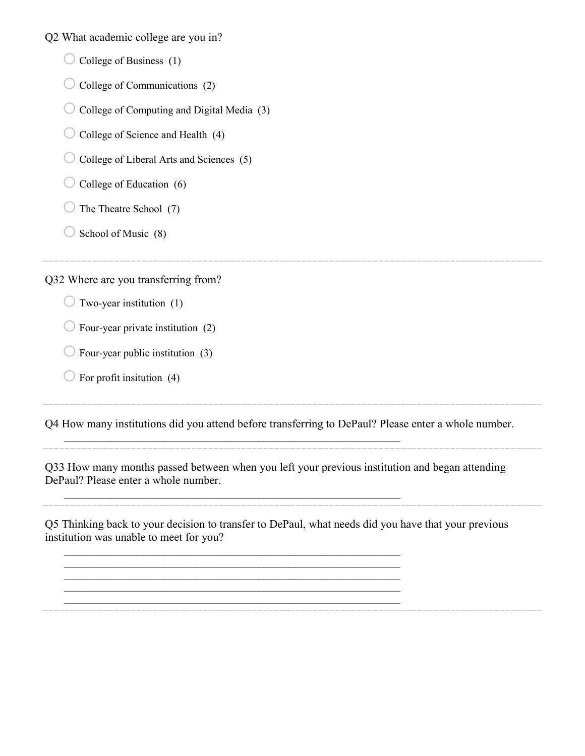Q2 What academic college are you in?

- $\bigcirc$  College of Business (1)
- $\bigcirc$  College of Communications (2)
- $\bigcirc$  College of Computing and Digital Media (3)
- $\bigcirc$  College of Science and Health (4)
- $\bigcirc$  College of Liberal Arts and Sciences (5)
- $\bigcirc$  College of Education (6)
- $\bigcirc$  The Theatre School (7)
- $\bigcirc$  School of Music (8)

Q32 Where are you transferring from?

- $\bigcirc$  Two-year institution (1)
- $\bigcirc$  Four-year private institution (2)
- $\bigcirc$  Four-year public institution (3)
- $\bigcirc$  For profit insitution (4)

Q4 How many institutions did you attend before transferring to DePaul? Please enter a whole number.

\_\_\_\_\_\_\_\_\_\_\_\_\_\_\_\_\_\_\_\_\_\_\_\_\_\_\_\_\_\_\_\_\_\_\_\_\_\_\_\_\_\_\_\_\_\_\_\_\_\_\_\_\_\_\_\_\_\_\_\_\_\_\_\_

 $\mathcal{L}_\mathcal{L}$  , and the contribution of the contribution of the contribution of the contribution of the contribution of the contribution of the contribution of the contribution of the contribution of the contribution of

 $\mathcal{L}_\mathcal{L}$  , and the contribution of the contribution of the contribution of the contribution of the contribution of the contribution of the contribution of the contribution of the contribution of the contribution of

 $\mathcal{L}_\mathcal{L}$  , and the contribution of the contribution of the contribution of the contribution of the contribution of the contribution of the contribution of the contribution of the contribution of the contribution of

 $\mathcal{L}_\mathcal{L}$  , and the contribution of the contribution of the contribution of the contribution of the contribution of the contribution of the contribution of the contribution of the contribution of the contribution of

Q33 How many months passed between when you left your previous institution and began attending DePaul? Please enter a whole number.

Q5 Thinking back to your decision to transfer to DePaul, what needs did you have that your previous institution was unable to meet for you?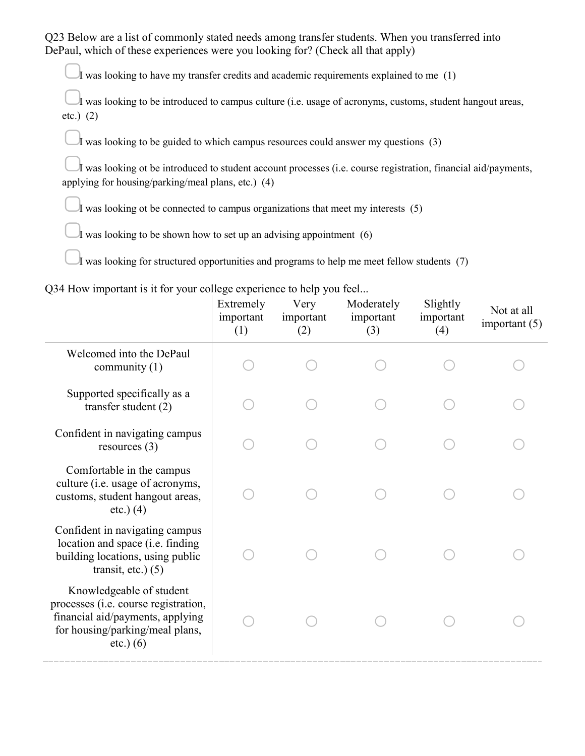Q23 Below are a list of commonly stated needs among transfer students. When you transferred into DePaul, which of these experiences were you looking for? (Check all that apply)

I was looking to have my transfer credits and academic requirements explained to me  $(1)$ 

I was looking to be introduced to campus culture (i.e. usage of acronyms, customs, student hangout areas, etc.) (2)

I was looking to be guided to which campus resources could answer my questions  $(3)$ 

I was looking ot be introduced to student account processes (i.e. course registration, financial aid/payments, applying for housing/parking/meal plans, etc.) (4)

I was looking ot be connected to campus organizations that meet my interests  $(5)$ 

I was looking to be shown how to set up an advising appointment  $(6)$ 

It was looking for structured opportunities and programs to help me meet fellow students (7)

Q34 How important is it for your college experience to help you feel...

|                                                                                                                                                        | Extremely<br>important<br>(1) | Very<br>important<br>(2) | Moderately<br>important<br>(3) | Slightly<br>important<br>(4) | Not at all<br>important $(5)$ |
|--------------------------------------------------------------------------------------------------------------------------------------------------------|-------------------------------|--------------------------|--------------------------------|------------------------------|-------------------------------|
| Welcomed into the DePaul<br>community $(1)$                                                                                                            |                               |                          |                                |                              |                               |
| Supported specifically as a<br>transfer student $(2)$                                                                                                  |                               |                          |                                |                              |                               |
| Confident in navigating campus<br>resources $(3)$                                                                                                      |                               |                          |                                |                              |                               |
| Comfortable in the campus<br>culture (i.e. usage of acronyms,<br>customs, student hangout areas,<br>$etc.)$ (4)                                        |                               |                          |                                |                              |                               |
| Confident in navigating campus<br>location and space (i.e. finding<br>building locations, using public<br>transit, etc.) $(5)$                         |                               |                          |                                |                              |                               |
| Knowledgeable of student<br>processes (i.e. course registration,<br>financial aid/payments, applying<br>for housing/parking/meal plans,<br>$etc.)$ (6) |                               |                          |                                |                              |                               |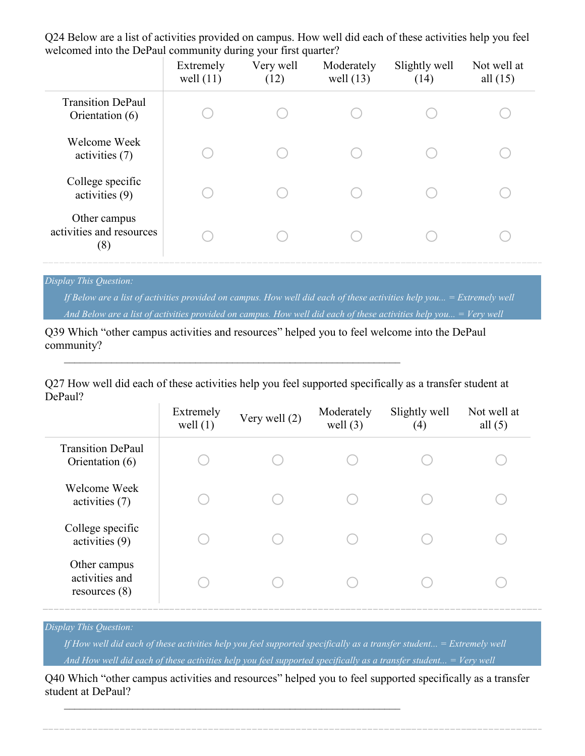Q24 Below are a list of activities provided on campus. How well did each of these activities help you feel welcomed into the DePaul community during your first quarter?

|                                                 | Extremely<br>well $(11)$ | Very well<br>(12) | Moderately<br>well $(13)$ | Slightly well<br>(14) | Not well at<br>all $(15)$ |
|-------------------------------------------------|--------------------------|-------------------|---------------------------|-----------------------|---------------------------|
| <b>Transition DePaul</b><br>Orientation (6)     |                          |                   |                           |                       |                           |
| Welcome Week<br>activities (7)                  |                          |                   |                           |                       |                           |
| College specific<br>activities (9)              |                          |                   |                           |                       |                           |
| Other campus<br>activities and resources<br>(8) |                          |                   |                           |                       |                           |

#### *Display This Question:*

*If Below are a list of activities provided on campus. How well did each of these activities help you... = Extremely well And Below are a list of activities provided on campus. How well did each of these activities help you... = Very well*

Q39 Which "other campus activities and resources" helped you to feel welcome into the DePaul community?

 $\mathcal{L}_\mathcal{L}$  , and the contribution of the contribution of the contribution of the contribution of the contribution of the contribution of the contribution of the contribution of the contribution of the contribution of

Q27 How well did each of these activities help you feel supported specifically as a transfer student at DePaul?

|                                                   | Extremely<br>well $(1)$ | Very well (2) | Moderately<br>well $(3)$ | Slightly well<br>(4) | Not well at<br>all $(5)$ |
|---------------------------------------------------|-------------------------|---------------|--------------------------|----------------------|--------------------------|
| <b>Transition DePaul</b><br>Orientation (6)       |                         |               |                          |                      |                          |
| Welcome Week<br>activities (7)                    |                         |               |                          |                      |                          |
| College specific<br>activities (9)                |                         |               |                          |                      |                          |
| Other campus<br>activities and<br>resources $(8)$ |                         |               |                          |                      |                          |

#### *Display This Question:*

*If How well did each of these activities help you feel supported specifically as a transfer student... = Extremely well And How well did each of these activities help you feel supported specifically as a transfer student... = Very well*

Q40 Which "other campus activities and resources" helped you to feel supported specifically as a transfer student at DePaul?

 $\_$  , and the contribution of the contribution of  $\mathcal{L}_\mathcal{A}$  , and the contribution of  $\mathcal{L}_\mathcal{A}$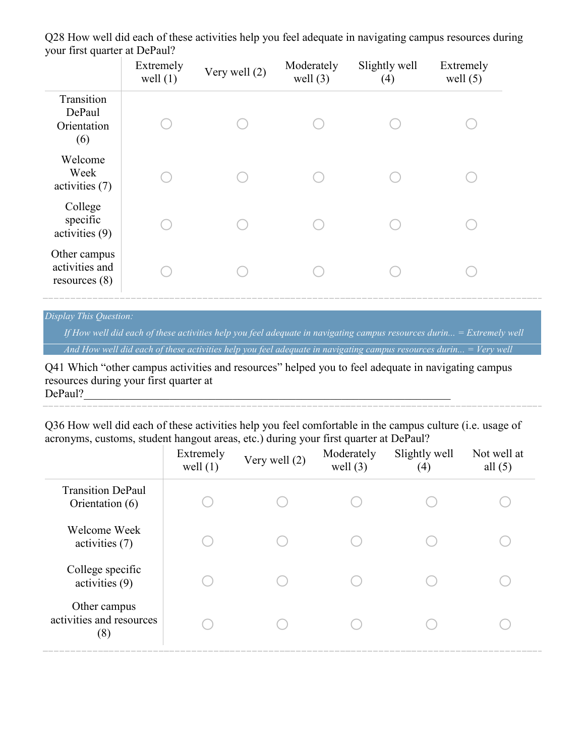| $J \sim 1$ and $J \sim 1$                         | Extremely<br>well $(1)$ | Very well (2) | Moderately<br>well $(3)$ | Slightly well<br>(4) | Extremely<br>well $(5)$ |
|---------------------------------------------------|-------------------------|---------------|--------------------------|----------------------|-------------------------|
| Transition<br>DePaul<br>Orientation<br>(6)        |                         |               |                          |                      |                         |
| Welcome<br>Week<br>activities (7)                 |                         |               |                          |                      |                         |
| College<br>specific<br>activities (9)             |                         |               |                          |                      |                         |
| Other campus<br>activities and<br>resources $(8)$ |                         |               |                          |                      |                         |

Q28 How well did each of these activities help you feel adequate in navigating campus resources during your first quarter at DePaul?

#### *Display This Question:*

*If How well did each of these activities help you feel adequate in navigating campus resources durin... = Extremely well And How well did each of these activities help you feel adequate in navigating campus resources durin... = Very well*

Q41 Which "other campus activities and resources" helped you to feel adequate in navigating campus resources during your first quarter at  $DePaul?$ 

Q36 How well did each of these activities help you feel comfortable in the campus culture (i.e. usage of acronyms, customs, student hangout areas, etc.) during your first quarter at DePaul?

|                                                 | Extremely<br>well $(1)$ | Very well (2) | Moderately<br>well $(3)$ | Slightly well<br>(4) | Not well at<br>all $(5)$ |
|-------------------------------------------------|-------------------------|---------------|--------------------------|----------------------|--------------------------|
| <b>Transition DePaul</b><br>Orientation (6)     |                         |               |                          |                      |                          |
| Welcome Week<br>activities (7)                  |                         |               |                          |                      |                          |
| College specific<br>activities (9)              |                         |               |                          |                      |                          |
| Other campus<br>activities and resources<br>(8) |                         |               |                          |                      |                          |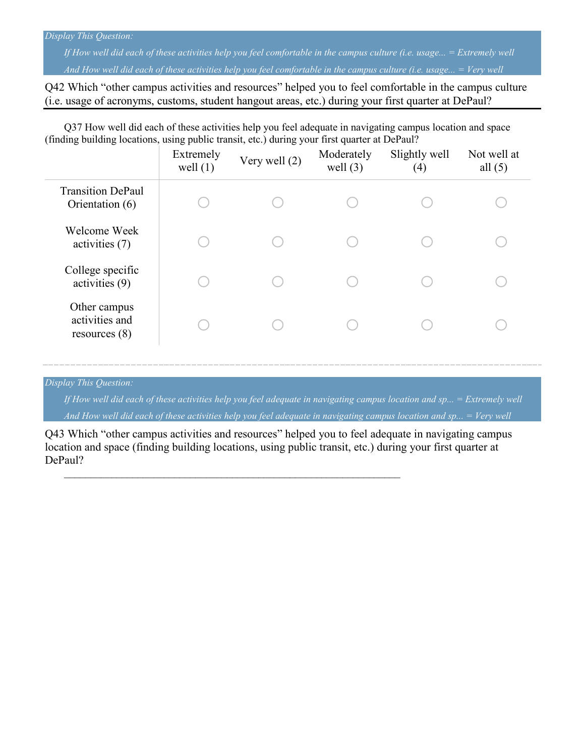#### *Display This Question:*

*If How well did each of these activities help you feel comfortable in the campus culture (i.e. usage... = Extremely well And How well did each of these activities help you feel comfortable in the campus culture (i.e. usage... = Very well*

Q42 Which "other campus activities and resources" helped you to feel comfortable in the campus culture (i.e. usage of acronyms, customs, student hangout areas, etc.) during your first quarter at DePaul?

Q37 How well did each of these activities help you feel adequate in navigating campus location and space (finding building locations, using public transit, etc.) during your first quarter at DePaul?

|                                                   | Extremely<br>well $(1)$ | Very well (2) | Moderately<br>well $(3)$ | Slightly well<br>(4) | Not well at<br>all $(5)$ |
|---------------------------------------------------|-------------------------|---------------|--------------------------|----------------------|--------------------------|
| <b>Transition DePaul</b><br>Orientation (6)       |                         |               |                          |                      |                          |
| Welcome Week<br>activities (7)                    |                         |               |                          |                      |                          |
| College specific<br>activities (9)                |                         |               |                          |                      |                          |
| Other campus<br>activities and<br>resources $(8)$ |                         |               |                          |                      |                          |

*Display This Question:*

*If How well did each of these activities help you feel adequate in navigating campus location and sp... = Extremely well And How well did each of these activities help you feel adequate in navigating campus location and sp... = Very well*

Q43 Which "other campus activities and resources" helped you to feel adequate in navigating campus location and space (finding building locations, using public transit, etc.) during your first quarter at DePaul?

 $\mathcal{L}_\mathcal{L}$  , and the contribution of the contribution of the contribution of the contribution of the contribution of the contribution of the contribution of the contribution of the contribution of the contribution of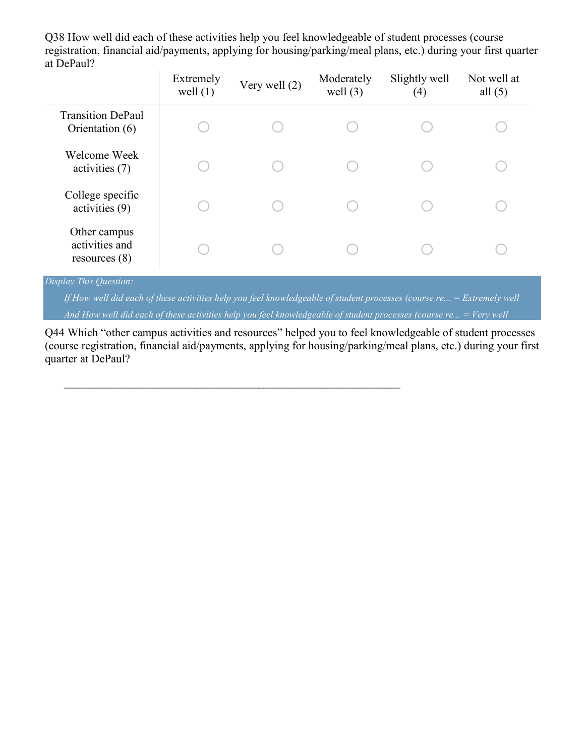Q38 How well did each of these activities help you feel knowledgeable of student processes (course registration, financial aid/payments, applying for housing/parking/meal plans, etc.) during your first quarter at DePaul?

|                                                   | Extremely<br>well $(1)$ | Very well (2) | Moderately<br>well $(3)$ | Slightly well<br>(4) | Not well at<br>all $(5)$ |
|---------------------------------------------------|-------------------------|---------------|--------------------------|----------------------|--------------------------|
| <b>Transition DePaul</b><br>Orientation (6)       |                         |               |                          |                      |                          |
| Welcome Week<br>activities (7)                    |                         |               |                          |                      |                          |
| College specific<br>activities $(9)$              |                         |               |                          |                      |                          |
| Other campus<br>activities and<br>resources $(8)$ |                         |               |                          |                      |                          |

#### *Display This Question:*

*If How well did each of these activities help you feel knowledgeable of student processes (course re... = Extremely well And How well did each of these activities help you feel knowledgeable of student processes (course re... = Very well*

Q44 Which "other campus activities and resources" helped you to feel knowledgeable of student processes (course registration, financial aid/payments, applying for housing/parking/meal plans, etc.) during your first quarter at DePaul?

 $\mathcal{L}_\mathcal{L}$  , and the contribution of the contribution of the contribution of the contribution of the contribution of the contribution of the contribution of the contribution of the contribution of the contribution of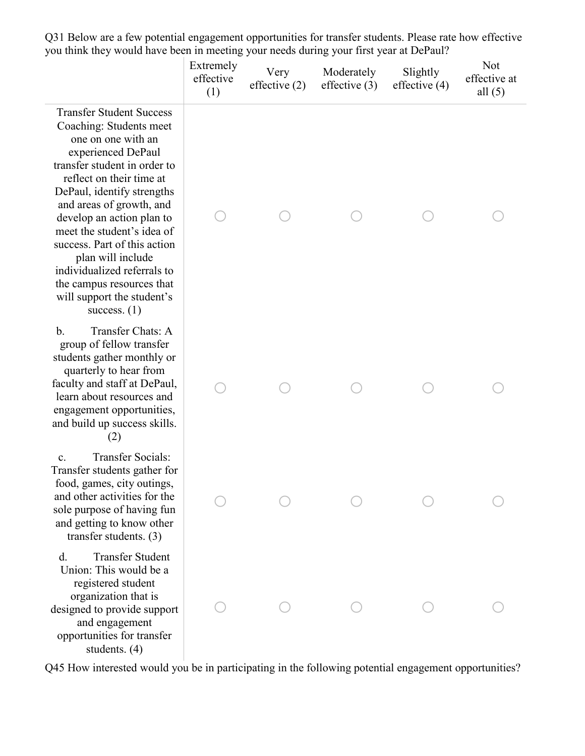Q31 Below are a few potential engagement opportunities for transfer students. Please rate how effective you think they would have been in meeting your needs during your first year at DePaul?

|                                                                                                                                                                                                                                                                                                                                                                                                                                                          | Extremely<br>effective<br>(1) | Very<br>effective $(2)$ | Moderately<br>effective $(3)$ | Slightly<br>effective $(4)$ | Not<br>effective at<br>all $(5)$ |
|----------------------------------------------------------------------------------------------------------------------------------------------------------------------------------------------------------------------------------------------------------------------------------------------------------------------------------------------------------------------------------------------------------------------------------------------------------|-------------------------------|-------------------------|-------------------------------|-----------------------------|----------------------------------|
| <b>Transfer Student Success</b><br>Coaching: Students meet<br>one on one with an<br>experienced DePaul<br>transfer student in order to<br>reflect on their time at<br>DePaul, identify strengths<br>and areas of growth, and<br>develop an action plan to<br>meet the student's idea of<br>success. Part of this action<br>plan will include<br>individualized referrals to<br>the campus resources that<br>will support the student's<br>success. $(1)$ |                               |                         |                               |                             |                                  |
| Transfer Chats: A<br>$\mathbf{b}$ .<br>group of fellow transfer<br>students gather monthly or<br>quarterly to hear from<br>faculty and staff at DePaul,<br>learn about resources and<br>engagement opportunities,<br>and build up success skills.<br>(2)                                                                                                                                                                                                 |                               |                         |                               |                             |                                  |
| <b>Transfer Socials:</b><br>c.<br>Transfer students gather for<br>food, games, city outings,<br>and other activities for the<br>sole purpose of having fun<br>and getting to know other<br>transfer students. $(3)$                                                                                                                                                                                                                                      |                               |                         |                               |                             |                                  |
| <b>Transfer Student</b><br>d.<br>Union: This would be a<br>registered student<br>organization that is<br>designed to provide support<br>and engagement<br>opportunities for transfer<br>students. (4)                                                                                                                                                                                                                                                    |                               |                         |                               |                             |                                  |

Q45 How interested would you be in participating in the following potential engagement opportunities?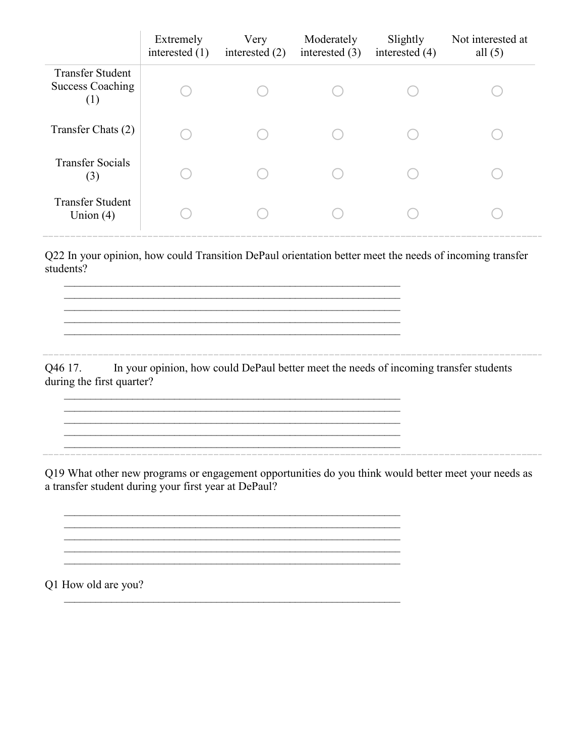|                                                           | Extremely<br>interested $(1)$ | Very<br>interested $(2)$ | Moderately<br>interested $(3)$ | Slightly<br>interested $(4)$ | Not interested at<br>all $(5)$ |
|-----------------------------------------------------------|-------------------------------|--------------------------|--------------------------------|------------------------------|--------------------------------|
| <b>Transfer Student</b><br><b>Success Coaching</b><br>(1) |                               |                          |                                |                              |                                |
| Transfer Chats (2)                                        |                               |                          |                                |                              |                                |
| <b>Transfer Socials</b><br>(3)                            |                               |                          |                                |                              |                                |
| <b>Transfer Student</b><br>Union $(4)$                    |                               |                          |                                |                              |                                |

Q22 In your opinion, how could Transition DePaul orientation better meet the needs of incoming transfer students?

 $\_$  , and the contribution of the contribution of  $\mathcal{L}_\mathcal{A}$  , and the contribution of  $\mathcal{L}_\mathcal{A}$ \_\_\_\_\_\_\_\_\_\_\_\_\_\_\_\_\_\_\_\_\_\_\_\_\_\_\_\_\_\_\_\_\_\_\_\_\_\_\_\_\_\_\_\_\_\_\_\_\_\_\_\_\_\_\_\_\_\_\_\_\_\_\_\_  $\mathcal{L}_\text{max}$  $\mathcal{L}_\text{max} = \frac{1}{2} \sum_{i=1}^n \mathcal{L}_\text{max}(\mathbf{z}_i - \mathbf{z}_i)$ \_\_\_\_\_\_\_\_\_\_\_\_\_\_\_\_\_\_\_\_\_\_\_\_\_\_\_\_\_\_\_\_\_\_\_\_\_\_\_\_\_\_\_\_\_\_\_\_\_\_\_\_\_\_\_\_\_\_\_\_\_\_\_\_

 $\mathcal{L}_\mathcal{L}$  , and the contribution of the contribution of the contribution of the contribution of the contribution of the contribution of the contribution of the contribution of the contribution of the contribution of

\_\_\_\_\_\_\_\_\_\_\_\_\_\_\_\_\_\_\_\_\_\_\_\_\_\_\_\_\_\_\_\_\_\_\_\_\_\_\_\_\_\_\_\_\_\_\_\_\_\_\_\_\_\_\_\_\_\_\_\_\_\_\_\_

 $\mathcal{L}_\mathcal{L}$  , and the contribution of the contribution of the contribution of the contribution of the contribution of the contribution of the contribution of the contribution of the contribution of the contribution of \_\_\_\_\_\_\_\_\_\_\_\_\_\_\_\_\_\_\_\_\_\_\_\_\_\_\_\_\_\_\_\_\_\_\_\_\_\_\_\_\_\_\_\_\_\_\_\_\_\_\_\_\_\_\_\_\_\_\_\_\_\_\_\_ \_\_\_\_\_\_\_\_\_\_\_\_\_\_\_\_\_\_\_\_\_\_\_\_\_\_\_\_\_\_\_\_\_\_\_\_\_\_\_\_\_\_\_\_\_\_\_\_\_\_\_\_\_\_\_\_\_\_\_\_\_\_\_\_

 $\_$  , and the contribution of the contribution of  $\mathcal{L}_\mathcal{A}$  , and the contribution of  $\mathcal{L}_\mathcal{A}$ 

 $\mathcal{L}_\mathcal{L}$  , and the contribution of the contribution of the contribution of the contribution of the contribution of the contribution of the contribution of the contribution of the contribution of the contribution of

Q46 17. In your opinion, how could DePaul better meet the needs of incoming transfer students during the first quarter?

\_\_\_\_\_\_\_\_\_\_\_\_\_\_\_\_\_\_\_\_\_\_\_\_\_\_\_\_\_\_\_\_\_\_\_\_\_\_\_\_\_\_\_\_\_\_\_\_\_\_\_\_\_\_\_\_\_\_\_\_\_\_\_\_

Q19 What other new programs or engagement opportunities do you think would better meet your needs as a transfer student during your first year at DePaul?

Q1 How old are you?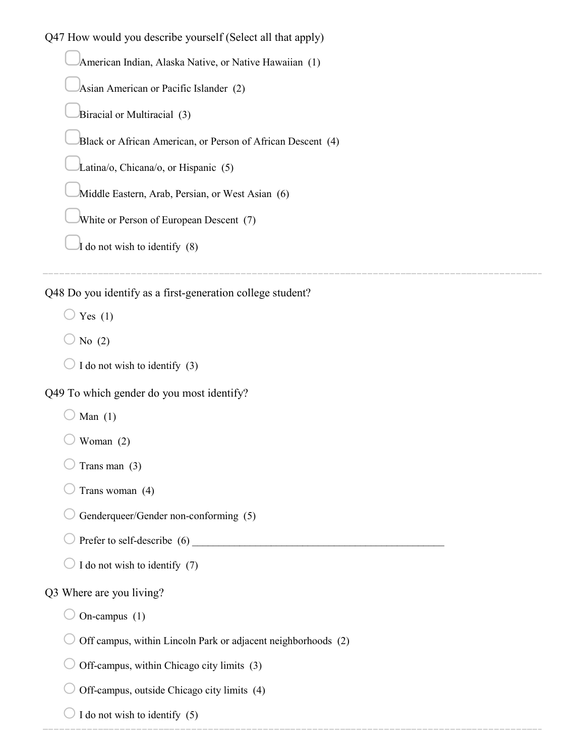Q47 How would you describe yourself (Select all that apply) ▢American Indian, Alaska Native, or Native Hawaiian (1) ▢Asian American or Pacific Islander (2) Biracial or Multiracial (3) Black or African American, or Person of African Descent (4) ▢Latina/o, Chicana/o, or Hispanic (5) Middle Eastern, Arab, Persian, or West Asian (6) White or Person of European Descent (7)  $\bar{I}$  do not wish to identify (8)

Q48 Do you identify as a first-generation college student?

 $\bigcirc$  Yes (1)

 $\bigcirc$  No (2)

 $\bigcirc$  I do not wish to identify (3)

Q49 To which gender do you most identify?

 $\bigcirc$  Man (1)

 $\bigcup$  Woman (2)

Trans man  $(3)$ 

 $\bigcirc$  Trans woman (4)

 $\bigcirc$  Genderqueer/Gender non-conforming (5)

 $\bigcirc$  Prefer to self-describe (6)

 $\bigcirc$  I do not wish to identify (7)

#### Q3 Where are you living?

 $\bigcirc$  On-campus (1)

 $\bigcirc$  Off campus, within Lincoln Park or adjacent neighborhoods (2)

 $\bigcirc$  Off-campus, within Chicago city limits (3)

 $\bigcirc$  Off-campus, outside Chicago city limits (4)

 $\bigcirc$  I do not wish to identify (5)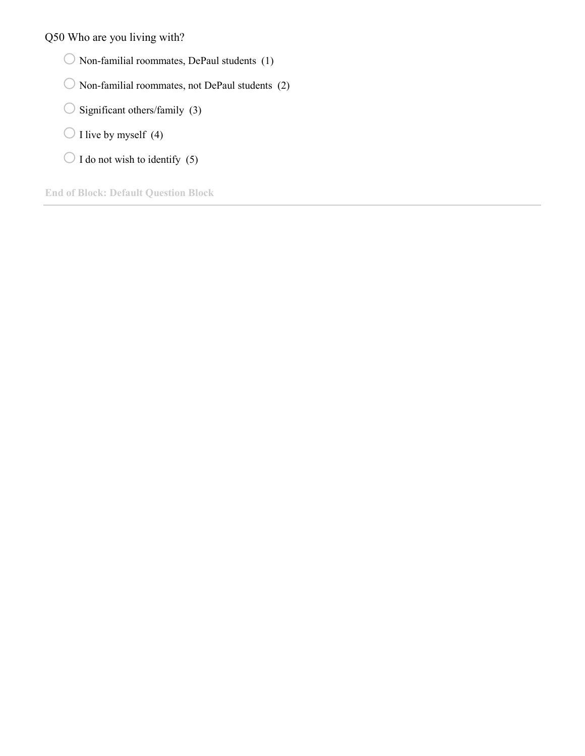Q50 Who are you living with?

- $\bigcirc$  Non-familial roommates, DePaul students (1)
- $\bigcirc$  Non-familial roommates, not DePaul students (2)
- $\bigcirc$  Significant others/family (3)
- $\bigcirc$  I live by myself (4)
- $\bigcirc$  I do not wish to identify (5)

**End of Block: Default Question Block**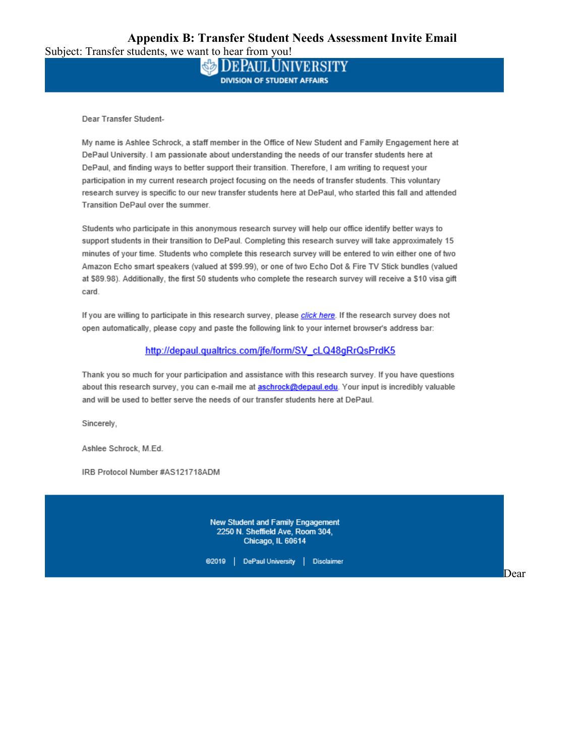| Subject: Transfer students, we want to hear from you! |  |
|-------------------------------------------------------|--|
|-------------------------------------------------------|--|

**DEPAUL UNIVERSITY DIVISION OF STUDENT AFFAIRS** 

Dear Transfer Student-

My name is Ashlee Schrock, a staff member in the Office of New Student and Family Engagement here at DePaul University. I am passionate about understanding the needs of our transfer students here at DePaul, and finding ways to better support their transition. Therefore, I am writing to request your participation in my current research project focusing on the needs of transfer students. This voluntary research survey is specific to our new transfer students here at DePaul, who started this fall and attended Transition DePaul over the summer.

Students who participate in this anonymous research survey will help our office identify better ways to support students in their transition to DePaul. Completing this research survey will take approximately 15 minutes of your time. Students who complete this research survey will be entered to win either one of two Amazon Echo smart speakers (valued at \$99.99), or one of two Echo Dot & Fire TV Stick bundles (valued at \$89.98). Additionally, the first 50 students who complete the research survey will receive a \$10 visa gift card.

If you are willing to participate in this research survey, please click here. If the research survey does not open automatically, please copy and paste the following link to your internet browser's address bar:

#### http://depaul.qualtrics.com/jfe/form/SV cLQ48qRrQsPrdK5

Thank you so much for your participation and assistance with this research survey. If you have questions about this research survey, you can e-mail me at **aschrock@depaul.edu**. Your input is incredibly valuable and will be used to better serve the needs of our transfer students here at DePaul.

Sincerely,

Ashlee Schrock, M.Ed.

IRB Protocol Number #AS121718ADM

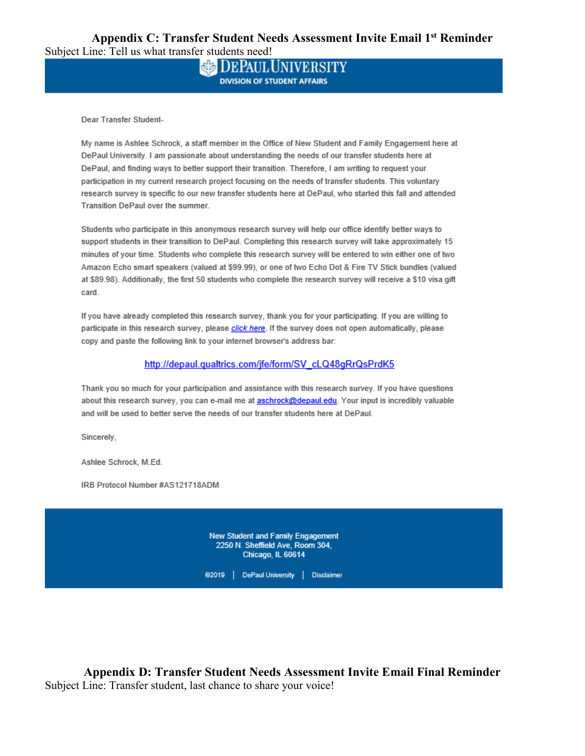**Appendix C: Transfer Student Needs Assessment Invite Email 1st Reminder** Subject Line: Tell us what transfer students need!

> **DEPAUL UNIVERSITY DIVISION OF STUDENT AFFAIRS**

Dear Transfer Student-

My name is Ashlee Schrock, a staff member in the Office of New Student and Family Engagement here at DePaul University. I am passionate about understanding the needs of our transfer students here at DePaul, and finding ways to better support their transition. Therefore, I am writing to request your participation in my current research project focusing on the needs of transfer students. This voluntary research survey is specific to our new transfer students here at DePaul, who started this fall and attended Transition DePaul over the summer.

Students who participate in this anonymous research survey will help our office identify better ways to support students in their transition to DePaul. Completing this research survey will take approximately 15 minutes of your time. Students who complete this research survey will be entered to win either one of two Amazon Echo smart speakers (valued at \$99.99), or one of two Echo Dot & Fire TV Stick bundles (valued at \$89.98). Additionally, the first 50 students who complete the research survey will receive a \$10 visa gift card.

If you have already completed this research survey, thank you for your participating. If you are willing to participate in this research survey, please click here. If the survey does not open automatically, please copy and paste the following link to your internet browser's address bar:

#### http://depaul.qualtrics.com/jfe/form/SV\_cLQ48qRrQsPrdK5

Thank you so much for your participation and assistance with this research survey. If you have questions about this research survey, you can e-mail me at aschrock@depaul.edu. Your input is incredibly valuable and will be used to better serve the needs of our transfer students here at DePaul.

Sincerely,

Ashlee Schrock, M.Ed.

IRB Protocol Number #AS121718ADM



**Appendix D: Transfer Student Needs Assessment Invite Email Final Reminder** Subject Line: Transfer student, last chance to share your voice!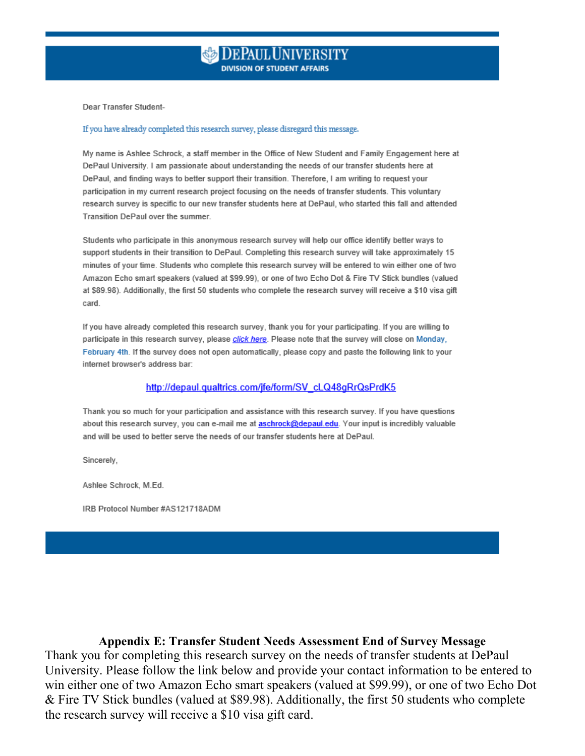Dear Transfer Student-

#### If you have already completed this research survey, please disregard this message.

My name is Ashlee Schrock, a staff member in the Office of New Student and Family Engagement here at DePaul University. I am passionate about understanding the needs of our transfer students here at DePaul, and finding ways to better support their transition. Therefore, I am writing to request your participation in my current research project focusing on the needs of transfer students. This voluntary research survey is specific to our new transfer students here at DePaul, who started this fall and attended Transition DePaul over the summer.

Students who participate in this anonymous research survey will help our office identify better ways to support students in their transition to DePaul. Completing this research survey will take approximately 15 minutes of your time. Students who complete this research survey will be entered to win either one of two Amazon Echo smart speakers (valued at \$99.99), or one of two Echo Dot & Fire TV Stick bundles (valued at \$89.98). Additionally, the first 50 students who complete the research survey will receive a \$10 visa gift card

If you have already completed this research survey, thank you for your participating. If you are willing to participate in this research survey, please click here. Please note that the survey will close on Monday, February 4th. If the survey does not open automatically, please copy and paste the following link to your internet browser's address bar:

#### http://depaul.qualtrics.com/jfe/form/SV cLQ48qRrQsPrdK5

Thank you so much for your participation and assistance with this research survey. If you have questions about this research survey, you can e-mail me at aschrock@depaul.edu. Your input is incredibly valuable and will be used to better serve the needs of our transfer students here at DePaul.

Sincerely,

Ashlee Schrock, M.Ed.

IRB Protocol Number #AS121718ADM

**Appendix E: Transfer Student Needs Assessment End of Survey Message**

Thank you for completing this research survey on the needs of transfer students at DePaul University. Please follow the link below and provide your contact information to be entered to win either one of two Amazon Echo smart speakers (valued at \$99.99), or one of two Echo Dot & Fire TV Stick bundles (valued at \$89.98). Additionally, the first 50 students who complete the research survey will receive a \$10 visa gift card.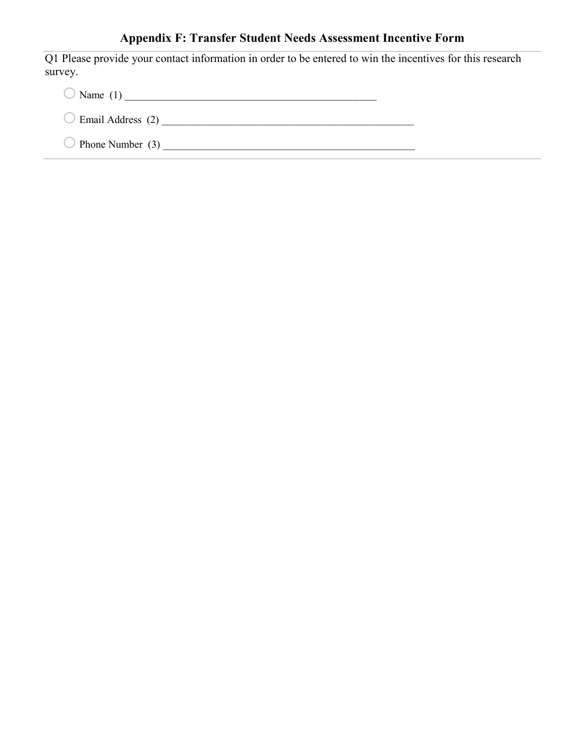# **Appendix F: Transfer Student Needs Assessment Incentive Form**

Q1 Please provide your contact information in order to be entered to win the incentives for this research survey.

o Name (1) \_\_\_\_\_\_\_\_\_\_\_\_\_\_\_\_\_\_\_\_\_\_\_\_\_\_\_\_\_\_\_\_\_\_\_\_\_\_\_\_\_\_\_\_\_\_\_\_

o Email Address (2) \_\_\_\_\_\_\_\_\_\_\_\_\_\_\_\_\_\_\_\_\_\_\_\_\_\_\_\_\_\_\_\_\_\_\_\_\_\_\_\_\_\_\_\_\_\_\_\_

oPhone Number (3) \_\_\_\_\_\_\_\_\_\_\_\_\_\_\_\_\_\_\_\_\_\_\_\_\_\_\_\_\_\_\_\_\_\_\_\_\_\_\_\_\_\_\_\_\_\_\_\_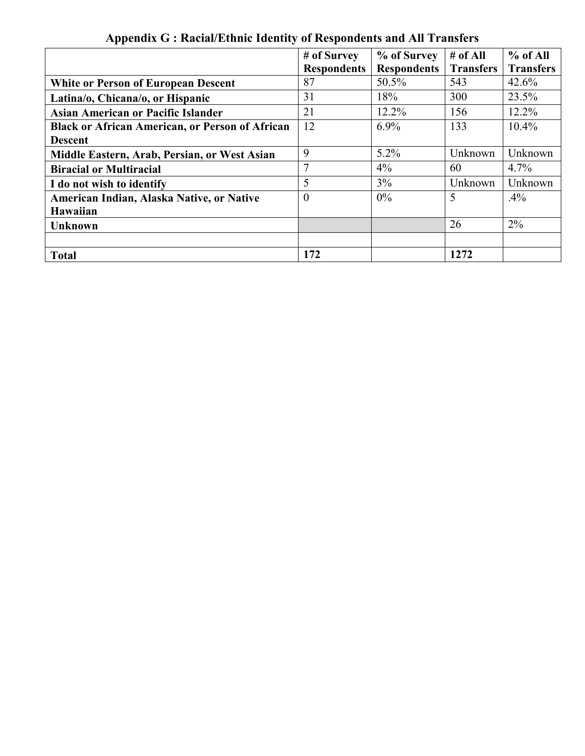|                                                        | # of Survey        | % of Survey        | # of All         | $%$ of All       |
|--------------------------------------------------------|--------------------|--------------------|------------------|------------------|
|                                                        | <b>Respondents</b> | <b>Respondents</b> | <b>Transfers</b> | <b>Transfers</b> |
| <b>White or Person of European Descent</b>             | 87                 | 50.5%              | 543              | 42.6%            |
| Latina/o, Chicana/o, or Hispanic                       | 31                 | 18%                | 300              | 23.5%            |
| Asian American or Pacific Islander                     | 21                 | $12.2\%$           | 156              | $12.2\%$         |
| <b>Black or African American, or Person of African</b> | 12                 | $6.9\%$            | 133              | 10.4%            |
| <b>Descent</b>                                         |                    |                    |                  |                  |
| Middle Eastern, Arab, Persian, or West Asian           | 9                  | $5.2\%$            | Unknown          | Unknown          |
| <b>Biracial or Multiracial</b>                         | 7                  | $4\%$              | 60               | $4.7\%$          |
| I do not wish to identify                              | 5                  | 3%                 | Unknown          | Unknown          |
| American Indian, Alaska Native, or Native              | $\theta$           | $0\%$              | 5                | .4%              |
| Hawaiian                                               |                    |                    |                  |                  |
| <b>Unknown</b>                                         |                    |                    | 26               | $2\%$            |
|                                                        |                    |                    |                  |                  |
| <b>Total</b>                                           | 172                |                    | 1272             |                  |

**Appendix G : Racial/Ethnic Identity of Respondents and All Transfers**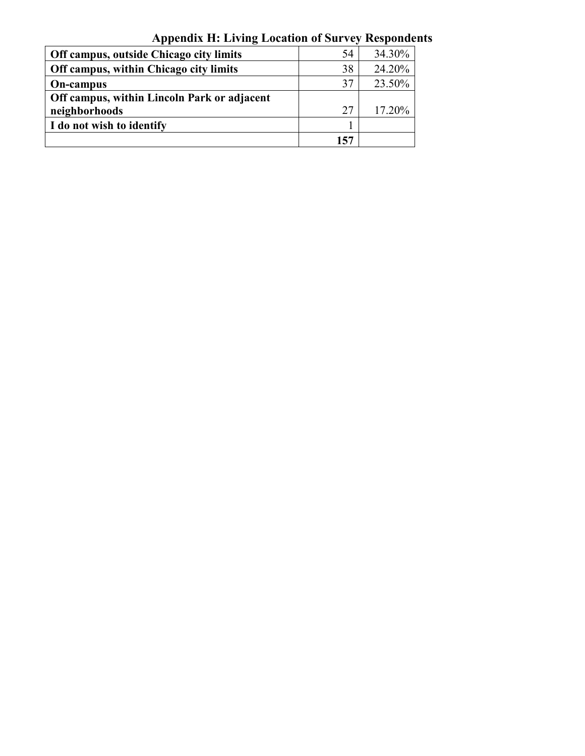| Off campus, outside Chicago city limits     | 54  | 34.30% |
|---------------------------------------------|-----|--------|
| Off campus, within Chicago city limits      | 38  | 24.20% |
| <b>On-campus</b>                            | 37  | 23.50% |
| Off campus, within Lincoln Park or adjacent |     |        |
| neighborhoods                               | 27  | 17.20% |
| I do not wish to identify                   |     |        |
|                                             | 157 |        |

**Appendix H: Living Location of Survey Respondents**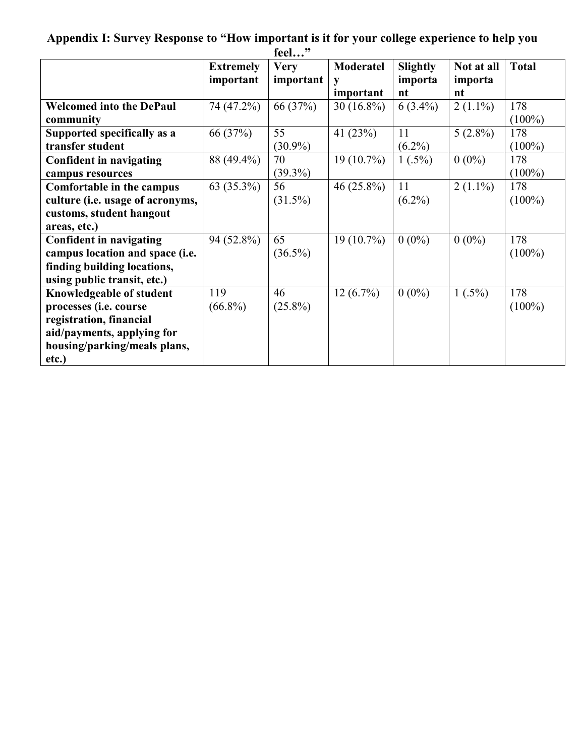| feel"                            |                  |             |                  |                 |            |              |
|----------------------------------|------------------|-------------|------------------|-----------------|------------|--------------|
|                                  | <b>Extremely</b> | <b>Very</b> | <b>Moderatel</b> | <b>Slightly</b> | Not at all | <b>Total</b> |
|                                  | important        | important   | y                | importa         | importa    |              |
|                                  |                  |             | important        | nt              | nt         |              |
| <b>Welcomed into the DePaul</b>  | 74 (47.2%)       | 66 (37%)    | $30(16.8\%)$     | $6(3.4\%)$      | $2(1.1\%)$ | 178          |
| community                        |                  |             |                  |                 |            | $(100\%)$    |
| Supported specifically as a      | 66 (37%)         | 55          | 41 $(23%)$       | 11              | $5(2.8\%)$ | 178          |
| transfer student                 |                  | $(30.9\%)$  |                  | $(6.2\%)$       |            | $(100\%)$    |
| Confident in navigating          | 88 (49.4%)       | 70          | $19(10.7\%)$     | $1(.5\%)$       | $0(0\%)$   | 178          |
| campus resources                 |                  | $(39.3\%)$  |                  |                 |            | $(100\%)$    |
| Comfortable in the campus        | 63 (35.3%)       | 56          | 46 (25.8%)       | 11              | $2(1.1\%)$ | 178          |
| culture (i.e. usage of acronyms, |                  | $(31.5\%)$  |                  | $(6.2\%)$       |            | $(100\%)$    |
| customs, student hangout         |                  |             |                  |                 |            |              |
| areas, etc.)                     |                  |             |                  |                 |            |              |
| <b>Confident in navigating</b>   | 94 (52.8%)       | 65          | $19(10.7\%)$     | $0(0\%)$        | $0(0\%)$   | 178          |
| campus location and space (i.e.  |                  | $(36.5\%)$  |                  |                 |            | $(100\%)$    |
| finding building locations,      |                  |             |                  |                 |            |              |
| using public transit, etc.)      |                  |             |                  |                 |            |              |
| Knowledgeable of student         | 119              | 46          | $12(6.7\%)$      | $0(0\%)$        | $1(.5\%)$  | 178          |
| processes (i.e. course           | $(66.8\%)$       | $(25.8\%)$  |                  |                 |            | $(100\%)$    |
| registration, financial          |                  |             |                  |                 |            |              |
| aid/payments, applying for       |                  |             |                  |                 |            |              |
| housing/parking/meals plans,     |                  |             |                  |                 |            |              |
| etc.)                            |                  |             |                  |                 |            |              |

# **Appendix I: Survey Response to "How important is it for your college experience to help you**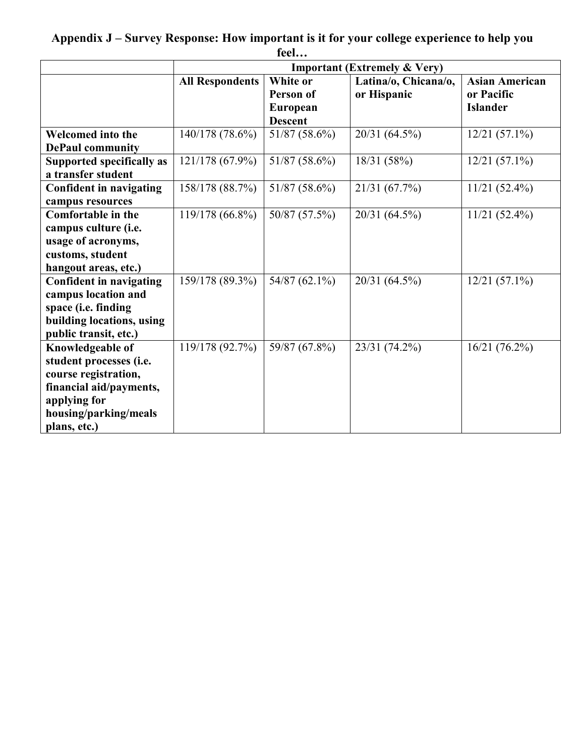**Appendix J – Survey Response: How important is it for your college experience to help you feel…**

|                                                                                                                                                         | <b>Important (Extremely &amp; Very)</b> |                                                     |                                     |                                                        |  |  |
|---------------------------------------------------------------------------------------------------------------------------------------------------------|-----------------------------------------|-----------------------------------------------------|-------------------------------------|--------------------------------------------------------|--|--|
|                                                                                                                                                         | <b>All Respondents</b>                  | White or<br>Person of<br>European<br><b>Descent</b> | Latina/o, Chicana/o,<br>or Hispanic | <b>Asian American</b><br>or Pacific<br><b>Islander</b> |  |  |
| <b>Welcomed into the</b><br><b>DePaul community</b>                                                                                                     | 140/178 (78.6%)                         | 51/87 (58.6%)                                       | 20/31 (64.5%)                       | $12/21(57.1\%)$                                        |  |  |
| <b>Supported specifically as</b><br>a transfer student                                                                                                  | 121/178 (67.9%)                         | 51/87 (58.6%)                                       | 18/31 (58%)                         | $12/21(57.1\%)$                                        |  |  |
| <b>Confident in navigating</b><br>campus resources                                                                                                      | 158/178 (88.7%)                         | 51/87 (58.6%)                                       | 21/31 (67.7%)                       | $11/21(52.4\%)$                                        |  |  |
| <b>Comfortable in the</b><br>campus culture (i.e.<br>usage of acronyms,<br>customs, student<br>hangout areas, etc.)                                     | 119/178 (66.8%)                         | 50/87 (57.5%)                                       | 20/31 (64.5%)                       | $11/21(52.4\%)$                                        |  |  |
| <b>Confident in navigating</b><br>campus location and<br>space (i.e. finding<br>building locations, using<br>public transit, etc.)                      | 159/178 (89.3%)                         | 54/87 (62.1%)                                       | 20/31 (64.5%)                       | $12/21(57.1\%)$                                        |  |  |
| Knowledgeable of<br>student processes (i.e.<br>course registration,<br>financial aid/payments,<br>applying for<br>housing/parking/meals<br>plans, etc.) | 119/178 (92.7%)                         | 59/87 (67.8%)                                       | 23/31 (74.2%)                       | 16/21(76.2%)                                           |  |  |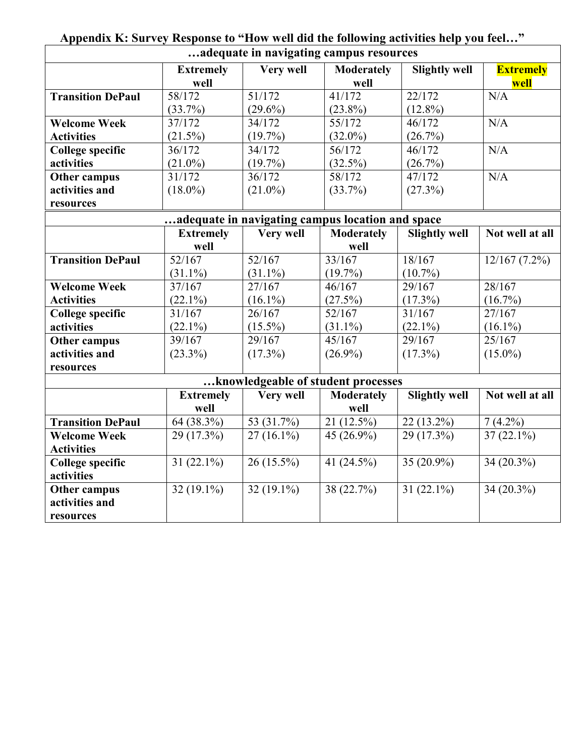| adequate in navigating campus resources |                  |              |                                                  |                      |                  |  |  |
|-----------------------------------------|------------------|--------------|--------------------------------------------------|----------------------|------------------|--|--|
|                                         | <b>Extremely</b> | Very well    | <b>Moderately</b>                                | <b>Slightly well</b> | <b>Extremely</b> |  |  |
|                                         | well             |              | well                                             |                      | well             |  |  |
| <b>Transition DePaul</b>                | 58/172           | 51/172       | 41/172                                           | 22/172               | N/A              |  |  |
|                                         | $(33.7\%)$       | $(29.6\%)$   | $(23.8\%)$                                       | $(12.8\%)$           |                  |  |  |
| <b>Welcome Week</b>                     | 37/172           | 34/172       | 55/172                                           | 46/172               | N/A              |  |  |
| <b>Activities</b>                       | $(21.5\%)$       | $(19.7\%)$   | $(32.0\%)$                                       | (26.7%)              |                  |  |  |
| <b>College specific</b>                 | 36/172           | 34/172       | 56/172                                           | 46/172               | N/A              |  |  |
| activities                              | $(21.0\%)$       | $(19.7\%)$   | $(32.5\%)$                                       | (26.7%)              |                  |  |  |
| <b>Other campus</b>                     | 31/172           | 36/172       | 58/172                                           | $\frac{47}{172}$     | N/A              |  |  |
| activities and                          | $(18.0\%)$       | $(21.0\%)$   | $(33.7\%)$                                       | (27.3%)              |                  |  |  |
| resources                               |                  |              |                                                  |                      |                  |  |  |
|                                         |                  |              | adequate in navigating campus location and space |                      |                  |  |  |
|                                         | <b>Extremely</b> | Very well    | <b>Moderately</b>                                | <b>Slightly well</b> | Not well at all  |  |  |
|                                         | well             |              | well                                             |                      |                  |  |  |
| <b>Transition DePaul</b>                | 52/167           | 52/167       | 33/167                                           | 18/167               | 12/167(7.2%)     |  |  |
|                                         | $(31.1\%)$       | $(31.1\%)$   | $(19.7\%)$                                       | $(10.7\%)$           |                  |  |  |
| <b>Welcome Week</b>                     | 37/167           | 27/167       | 46/167                                           | $\frac{29}{167}$     | 28/167           |  |  |
| <b>Activities</b>                       | $(22.1\%)$       | $(16.1\%)$   | $(27.5\%)$                                       | $(17.3\%)$           | $(16.7\%)$       |  |  |
| <b>College specific</b>                 | 31/167           | 26/167       | 52/167                                           | 31/167               | 27/167           |  |  |
| activities                              | $(22.1\%)$       | $(15.5\%)$   | $(31.1\%)$                                       | $(22.1\%)$           | $(16.1\%)$       |  |  |
| <b>Other campus</b>                     | 39/167           | 29/167       | 45/167                                           | 29/167               | 25/167           |  |  |
| activities and                          | $(23.3\%)$       | $(17.3\%)$   | $(26.9\%)$                                       | $(17.3\%)$           | $(15.0\%)$       |  |  |
| resources                               |                  |              |                                                  |                      |                  |  |  |
|                                         |                  |              | knowledgeable of student processes               |                      |                  |  |  |
|                                         | <b>Extremely</b> | Very well    | <b>Moderately</b>                                | <b>Slightly well</b> | Not well at all  |  |  |
|                                         | well             |              | well                                             |                      |                  |  |  |
| <b>Transition DePaul</b>                | 64(38.3%)        | 53 $(31.7%)$ | $\overline{21(12.5\%)}$                          | 22 (13.2%)           | $7(4.2\%)$       |  |  |
| <b>Welcome Week</b>                     | 29 (17.3%)       | $27(16.1\%)$ | 45 (26.9%)                                       | 29 (17.3%)           | $37(22.1\%)$     |  |  |
| <b>Activities</b>                       |                  |              |                                                  |                      |                  |  |  |
| <b>College specific</b>                 | 31 $(22.1\%)$    | $26(15.5\%)$ | 41 (24.5%)                                       | 35 (20.9%)           | 34 (20.3%)       |  |  |
| activities                              |                  |              |                                                  |                      |                  |  |  |
| <b>Other campus</b>                     | $32(19.1\%)$     | $32(19.1\%)$ | 38 (22.7%)                                       | 31 $(22.1\%)$        | 34 (20.3%)       |  |  |
| activities and                          |                  |              |                                                  |                      |                  |  |  |
| resources                               |                  |              |                                                  |                      |                  |  |  |

**Appendix K: Survey Response to "How well did the following activities help you feel…"**

 $\overline{a}$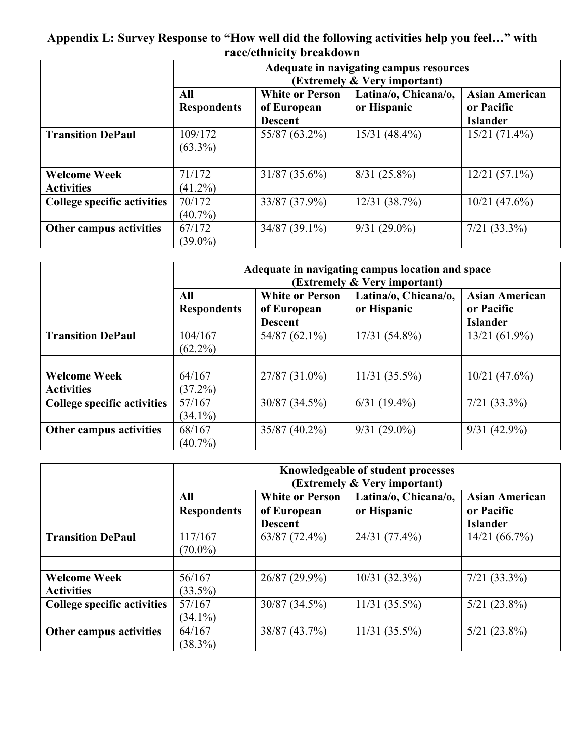# **Appendix L: Survey Response to "How well did the following activities help you feel…" with race/ethnicity breakdown**

|                                    |                    | Adequate in navigating campus resources<br>(Extremely & Very important) |                      |                       |  |  |
|------------------------------------|--------------------|-------------------------------------------------------------------------|----------------------|-----------------------|--|--|
|                                    |                    |                                                                         |                      |                       |  |  |
|                                    | All                | <b>White or Person</b>                                                  | Latina/o, Chicana/o, | <b>Asian American</b> |  |  |
|                                    | <b>Respondents</b> | of European                                                             | or Hispanic          | or Pacific            |  |  |
|                                    |                    | <b>Descent</b>                                                          |                      | <b>Islander</b>       |  |  |
| <b>Transition DePaul</b>           | 109/172            | 55/87 (63.2%)                                                           | $15/31 (48.4\%)$     | $15/21(71.4\%)$       |  |  |
|                                    | $(63.3\%)$         |                                                                         |                      |                       |  |  |
|                                    |                    |                                                                         |                      |                       |  |  |
| <b>Welcome Week</b>                | 71/172             | $31/87(35.6\%)$                                                         | $8/31$ (25.8%)       | $12/21(57.1\%)$       |  |  |
| <b>Activities</b>                  | $(41.2\%)$         |                                                                         |                      |                       |  |  |
| <b>College specific activities</b> | 70/172             | 33/87 (37.9%)                                                           | 12/31(38.7%)         | $10/21$ (47.6%)       |  |  |
|                                    | $(40.7\%)$         |                                                                         |                      |                       |  |  |
| Other campus activities            | 67/172             | $34/87(39.1\%)$                                                         | $9/31(29.0\%)$       | $7/21$ (33.3%)        |  |  |
|                                    | $(39.0\%)$         |                                                                         |                      |                       |  |  |

|                                          | Adequate in navigating campus location and space<br>(Extremely & Very important) |                                                         |                                     |                                                        |  |
|------------------------------------------|----------------------------------------------------------------------------------|---------------------------------------------------------|-------------------------------------|--------------------------------------------------------|--|
|                                          | All<br><b>Respondents</b>                                                        | <b>White or Person</b><br>of European<br><b>Descent</b> | Latina/o, Chicana/o,<br>or Hispanic | <b>Asian American</b><br>or Pacific<br><b>Islander</b> |  |
| <b>Transition DePaul</b>                 | 104/167<br>$(62.2\%)$                                                            | $54/87(62.1\%)$                                         | $17/31(54.8\%)$                     | $13/21(61.9\%)$                                        |  |
| <b>Welcome Week</b><br><b>Activities</b> | 64/167<br>$(37.2\%)$                                                             | $27/87(31.0\%)$                                         | $11/31$ (35.5%)                     | $10/21$ (47.6%)                                        |  |
| <b>College specific activities</b>       | 57/167<br>$(34.1\%)$                                                             | 30/87(34.5%)                                            | $6/31(19.4\%)$                      | $7/21$ (33.3%)                                         |  |
| Other campus activities                  | 68/167<br>$(40.7\%)$                                                             | $35/87(40.2\%)$                                         | $9/31(29.0\%)$                      | $9/31(42.9\%)$                                         |  |

|                                          | Knowledgeable of student processes<br>(Extremely & Very important) |                                                         |                                     |                                                        |  |
|------------------------------------------|--------------------------------------------------------------------|---------------------------------------------------------|-------------------------------------|--------------------------------------------------------|--|
|                                          | All<br><b>Respondents</b>                                          | <b>White or Person</b><br>of European<br><b>Descent</b> | Latina/o, Chicana/o,<br>or Hispanic | <b>Asian American</b><br>or Pacific<br><b>Islander</b> |  |
| <b>Transition DePaul</b>                 | 117/167<br>$(70.0\%)$                                              | $63/87(72.4\%)$                                         | 24/31 (77.4%)                       | 14/21(66.7%)                                           |  |
| <b>Welcome Week</b><br><b>Activities</b> | 56/167<br>$(33.5\%)$                                               | $26/87(29.9\%)$                                         | 10/31(32.3%)                        | $7/21$ (33.3%)                                         |  |
| <b>College specific activities</b>       | 57/167<br>$(34.1\%)$                                               | $30/87(34.5\%)$                                         | $11/31$ (35.5%)                     | $5/21$ (23.8%)                                         |  |
| Other campus activities                  | 64/167<br>$(38.3\%)$                                               | 38/87 (43.7%)                                           | $11/31(35.5\%)$                     | $5/21$ (23.8%)                                         |  |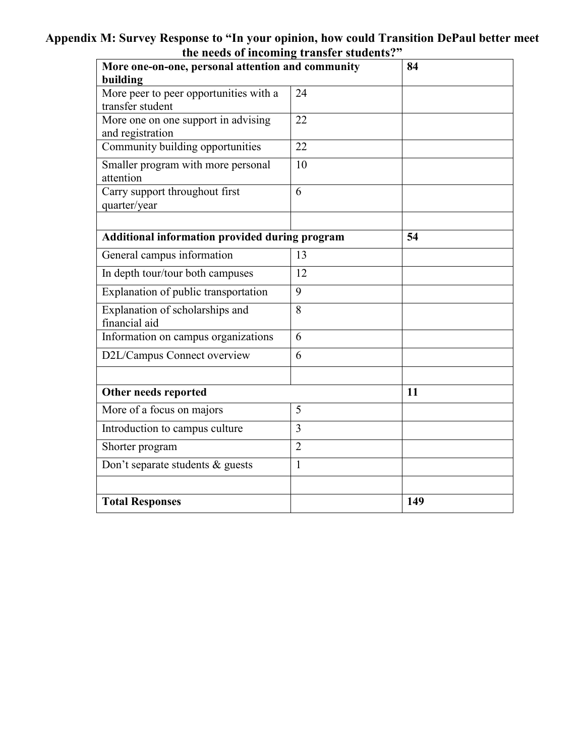# **Appendix M: Survey Response to "In your opinion, how could Transition DePaul better meet the needs of incoming transfer students?"**

| More one-on-one, personal attention and community          | 84             |     |  |
|------------------------------------------------------------|----------------|-----|--|
| building                                                   |                |     |  |
| More peer to peer opportunities with a<br>transfer student | 24             |     |  |
| More one on one support in advising<br>and registration    | 22             |     |  |
| Community building opportunities                           | 22             |     |  |
| Smaller program with more personal<br>attention            | 10             |     |  |
| Carry support throughout first<br>quarter/year             | 6              |     |  |
|                                                            |                |     |  |
| Additional information provided during program             |                | 54  |  |
| General campus information                                 | 13             |     |  |
| In depth tour/tour both campuses                           | 12             |     |  |
| Explanation of public transportation                       | 9              |     |  |
| Explanation of scholarships and<br>financial aid           | 8              |     |  |
| Information on campus organizations                        | 6              |     |  |
| D2L/Campus Connect overview                                | 6              |     |  |
|                                                            |                |     |  |
| Other needs reported                                       |                | 11  |  |
| More of a focus on majors                                  | 5              |     |  |
| Introduction to campus culture                             | 3              |     |  |
| Shorter program                                            | $\overline{2}$ |     |  |
| Don't separate students & guests                           | $\mathbf{1}$   |     |  |
|                                                            |                |     |  |
| <b>Total Responses</b>                                     |                | 149 |  |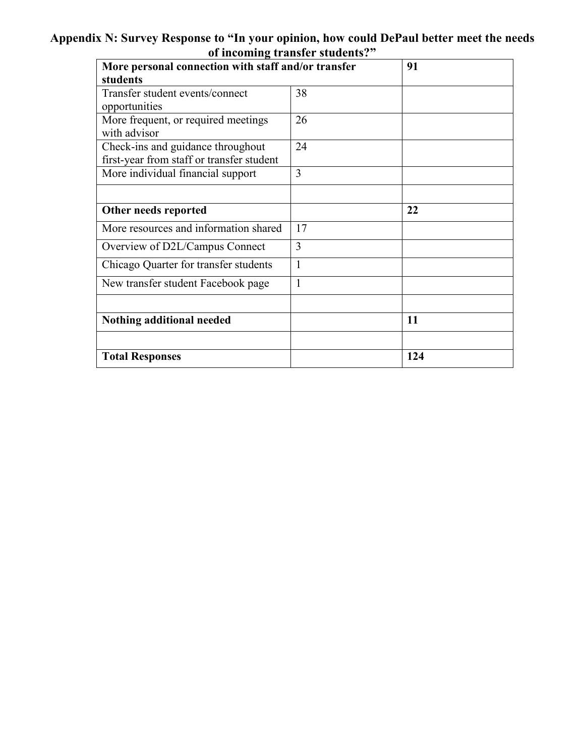# **Appendix N: Survey Response to "In your opinion, how could DePaul better meet the needs of incoming transfer students?"**

| of meoning transfer staathes.<br>More personal connection with staff and/or transfer |              | 91  |
|--------------------------------------------------------------------------------------|--------------|-----|
| students                                                                             |              |     |
| Transfer student events/connect                                                      | 38           |     |
| opportunities                                                                        |              |     |
| More frequent, or required meetings<br>with advisor                                  | 26           |     |
| Check-ins and guidance throughout                                                    | 24           |     |
| first-year from staff or transfer student                                            |              |     |
| More individual financial support                                                    | 3            |     |
|                                                                                      |              |     |
| Other needs reported                                                                 |              | 22  |
| More resources and information shared                                                | 17           |     |
| Overview of D2L/Campus Connect                                                       | 3            |     |
| Chicago Quarter for transfer students                                                | $\mathbf{1}$ |     |
| New transfer student Facebook page                                                   | 1            |     |
|                                                                                      |              |     |
| Nothing additional needed                                                            |              | 11  |
|                                                                                      |              |     |
| <b>Total Responses</b>                                                               |              | 124 |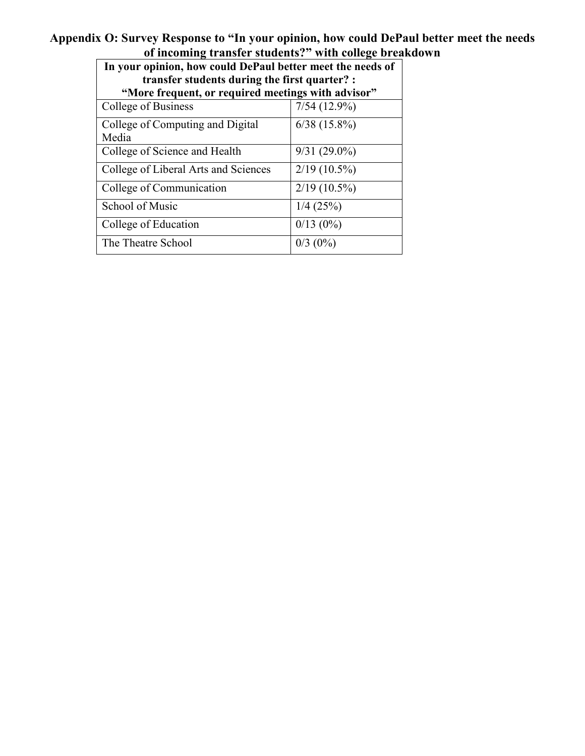## **Appendix O: Survey Response to "In your opinion, how could DePaul better meet the needs of incoming transfer students?" with college breakdown**

| In your opinion, how could DePaul better meet the needs of |                                                    |  |  |  |  |  |  |
|------------------------------------------------------------|----------------------------------------------------|--|--|--|--|--|--|
| transfer students during the first quarter? :              |                                                    |  |  |  |  |  |  |
|                                                            | "More frequent, or required meetings with advisor" |  |  |  |  |  |  |
| College of Business                                        | $7/54(12.9\%)$                                     |  |  |  |  |  |  |
| College of Computing and Digital                           | $6/38$ (15.8%)                                     |  |  |  |  |  |  |
| Media                                                      |                                                    |  |  |  |  |  |  |
|                                                            |                                                    |  |  |  |  |  |  |
| College of Science and Health                              | $9/31(29.0\%)$                                     |  |  |  |  |  |  |
| College of Liberal Arts and Sciences                       | $2/19(10.5\%)$                                     |  |  |  |  |  |  |
|                                                            |                                                    |  |  |  |  |  |  |
| College of Communication                                   | $2/19(10.5\%)$                                     |  |  |  |  |  |  |
|                                                            |                                                    |  |  |  |  |  |  |
| School of Music                                            | $1/4$ (25%)                                        |  |  |  |  |  |  |
| College of Education                                       | $0/13(0\%)$                                        |  |  |  |  |  |  |
|                                                            |                                                    |  |  |  |  |  |  |
| The Theatre School                                         | $0/3$ (0%)                                         |  |  |  |  |  |  |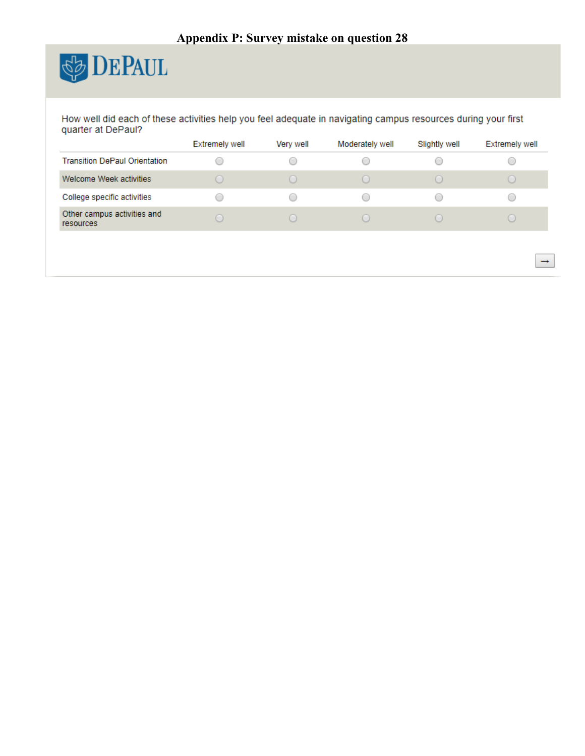

How well did each of these activities help you feel adequate in navigating campus resources during your first quarter at DePaul?

|                                          | <b>Extremely well</b>                           | Very well            | Moderately well        | Slightly well                    | <b>Extremely well</b> |
|------------------------------------------|-------------------------------------------------|----------------------|------------------------|----------------------------------|-----------------------|
| <b>Transition DePaul Orientation</b>     |                                                 |                      |                        |                                  |                       |
| Welcome Week activities                  |                                                 |                      |                        |                                  |                       |
| College specific activities              | $\hspace{0.5cm}\scriptstyle\hspace{0.5cm}\circ$ | $\qquad \qquad \Box$ | $\left( \quad \right)$ | $\scriptstyle\left(\quad\right)$ |                       |
| Other campus activities and<br>resources |                                                 |                      |                        |                                  |                       |
|                                          |                                                 |                      |                        |                                  |                       |

 $\rightarrow$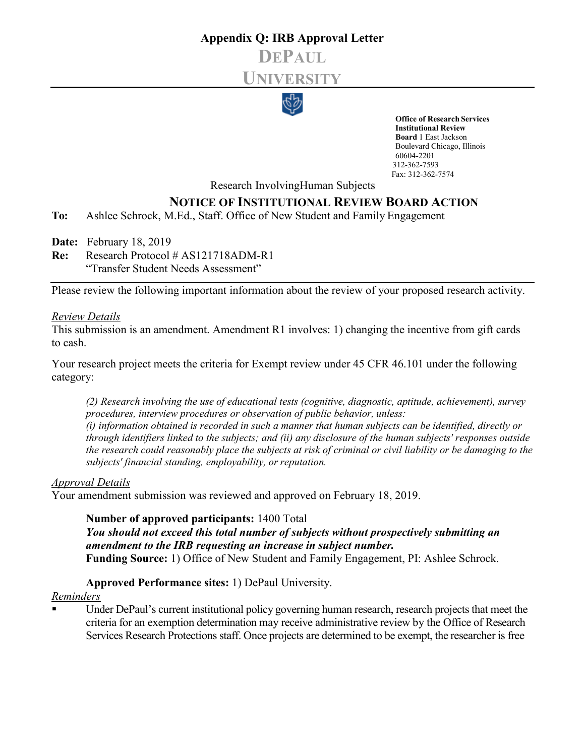# **Appendix Q: IRB Approval Letter DEPAUL UNIVERSITY**



**Office of Research Services Institutional Review Board** 1 East Jackson Boulevard Chicago, Illinois 60604-2201 312-362-7593 Fax: 312-362-7574

Research InvolvingHuman Subjects

# **NOTICE OF INSTITUTIONAL REVIEW BOARD ACTION**

**To:** Ashlee Schrock, M.Ed., Staff. Office of New Student and Family Engagement

**Date:** February 18, 2019

**Re:** Research Protocol # AS121718ADM-R1

"Transfer Student Needs Assessment"

Please review the following important information about the review of your proposed research activity.

#### *Review Details*

This submission is an amendment. Amendment R1 involves: 1) changing the incentive from gift cards to cash.

Your research project meets the criteria for Exempt review under 45 CFR 46.101 under the following category:

*(2) Research involving the use of educational tests (cognitive, diagnostic, aptitude, achievement), survey procedures, interview procedures or observation of public behavior, unless: (i) information obtained is recorded in such a manner that human subjects can be identified, directly or through identifiers linked to the subjects; and (ii) any disclosure of the human subjects' responses outside the research could reasonably place the subjects at risk of criminal or civil liability or be damaging to the subjects' financial standing, employability, or reputation.*

#### *Approval Details*

Your amendment submission was reviewed and approved on February 18, 2019.

**Number of approved participants:** 1400 Total *You should not exceed this total number of subjects without prospectively submitting an amendment to the IRB requesting an increase in subject number.* **Funding Source:** 1) Office of New Student and Family Engagement, PI: Ashlee Schrock.

**Approved Performance sites:** 1) DePaul University.

#### *Reminders*

 Under DePaul's current institutional policy governing human research, research projects that meet the criteria for an exemption determination may receive administrative review by the Office of Research Services Research Protections staff. Once projects are determined to be exempt, the researcher is free